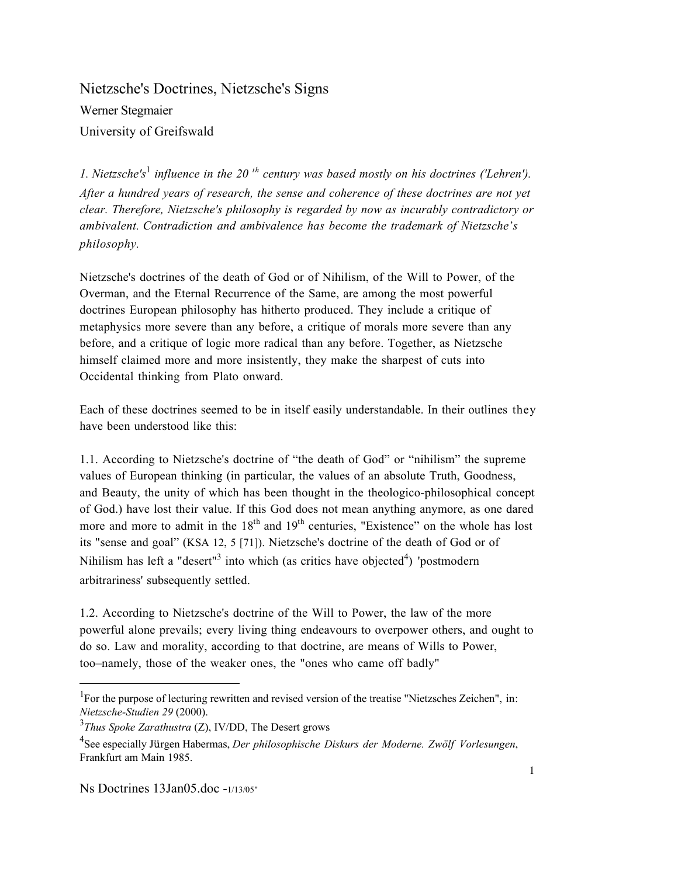Nietzsche's Doctrines, Nietzsche's Signs Werner Stegmaier University of Greifswald

*1. Nietzsche's*<sup>1</sup> *influence in the 20 th century was based mostly on his doctrines ('Lehren'). After a hundred years of research, the sense and coherence of these doctrines are not yet clear. Therefore, Nietzsche's philosophy is regarded by now as incurably contradictory or ambivalent. Contradiction and ambivalence has become the trademark of Nietzsche's philosophy.*

Nietzsche's doctrines of the death of God or of Nihilism, of the Will to Power, of the Overman, and the Eternal Recurrence of the Same, are among the most powerful doctrines European philosophy has hitherto produced. They include a critique of metaphysics more severe than any before, a critique of morals more severe than any before, and a critique of logic more radical than any before. Together, as Nietzsche himself claimed more and more insistently, they make the sharpest of cuts into Occidental thinking from Plato onward.

Each of these doctrines seemed to be in itself easily understandable. In their outlines they have been understood like this:

1.1. According to Nietzsche's doctrine of "the death of God" or "nihilism" the supreme values of European thinking (in particular, the values of an absolute Truth, Goodness, and Beauty, the unity of which has been thought in the theologico-philosophical concept of God.) have lost their value. If this God does not mean anything anymore, as one dared more and more to admit in the 18<sup>th</sup> and 19<sup>th</sup> centuries, "Existence" on the whole has lost its "sense and goal" (KSA 12, 5 [71]). Nietzsche's doctrine of the death of God or of Nihilism has left a "desert"<sup>3</sup> into which (as critics have objected<sup>4</sup>) 'postmodern arbitrariness' subsequently settled.

1.2. According to Nietzsche's doctrine of the Will to Power, the law of the more powerful alone prevails; every living thing endeavours to overpower others, and ought to do so. Law and morality, according to that doctrine, are means of Wills to Power, too–namely, those of the weaker ones, the "ones who came off badly"

<sup>&</sup>lt;sup>1</sup>For the purpose of lecturing rewritten and revised version of the treatise "Nietzsches Zeichen", in: *Nietzsche-Studien 29* (2000).

<sup>3</sup> *Thus Spoke Zarathustra* (Z), IV/DD, The Desert grows

<sup>4</sup> See especially Jürgen Habermas, *Der philosophische Diskurs der Moderne. Zwölf Vorlesungen*, Frankfurt am Main 1985.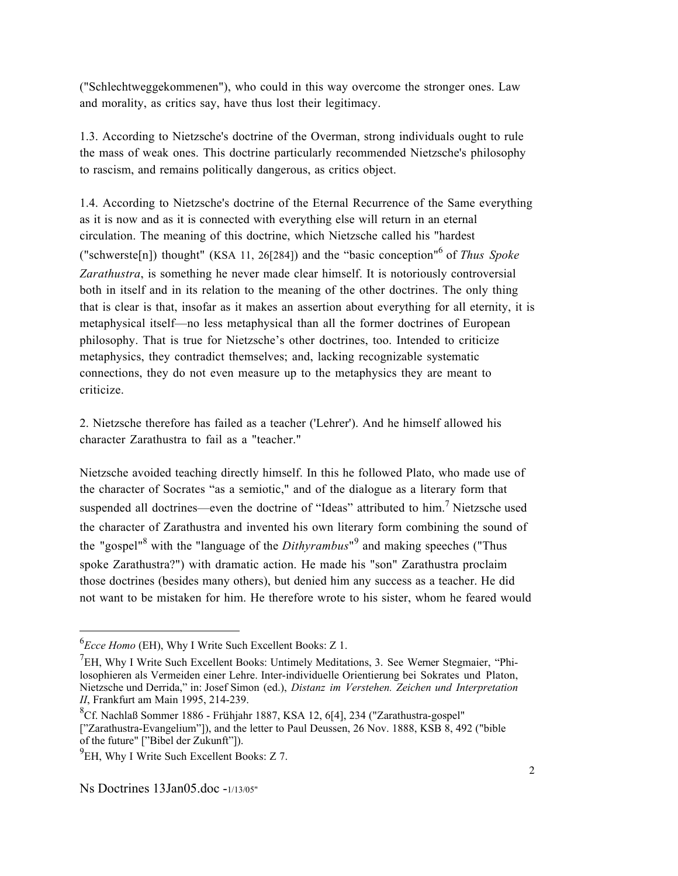("Schlechtweggekommenen"), who could in this way overcome the stronger ones. Law and morality, as critics say, have thus lost their legitimacy.

1.3. According to Nietzsche's doctrine of the Overman, strong individuals ought to rule the mass of weak ones. This doctrine particularly recommended Nietzsche's philosophy to rascism, and remains politically dangerous, as critics object.

1.4. According to Nietzsche's doctrine of the Eternal Recurrence of the Same everything as it is now and as it is connected with everything else will return in an eternal circulation. The meaning of this doctrine, which Nietzsche called his "hardest ("schwerste[n]) thought" (KSA 11, 26[284]) and the "basic conception"6 of *Thus Spoke Zarathustra*, is something he never made clear himself. It is notoriously controversial both in itself and in its relation to the meaning of the other doctrines. The only thing that is clear is that, insofar as it makes an assertion about everything for all eternity, it is metaphysical itself—no less metaphysical than all the former doctrines of European philosophy. That is true for Nietzsche's other doctrines, too. Intended to criticize metaphysics, they contradict themselves; and, lacking recognizable systematic connections, they do not even measure up to the metaphysics they are meant to criticize.

2. Nietzsche therefore has failed as a teacher ('Lehrer'). And he himself allowed his character Zarathustra to fail as a "teacher."

Nietzsche avoided teaching directly himself. In this he followed Plato, who made use of the character of Socrates "as a semiotic," and of the dialogue as a literary form that suspended all doctrines—even the doctrine of "Ideas" attributed to  $\lim_{n \to \infty}$  Nietzsche used the character of Zarathustra and invented his own literary form combining the sound of the "gospel"<sup>8</sup> with the "language of the *Dithyrambus*" <sup>9</sup> and making speeches ("Thus spoke Zarathustra?") with dramatic action. He made his "son" Zarathustra proclaim those doctrines (besides many others), but denied him any success as a teacher. He did not want to be mistaken for him. He therefore wrote to his sister, whom he feared would

<sup>6</sup> *Ecce Homo* (EH), Why I Write Such Excellent Books: Z 1.

<sup>&</sup>lt;sup>7</sup>EH, Why I Write Such Excellent Books: Untimely Meditations, 3. See Werner Stegmaier, "Philosophieren als Vermeiden einer Lehre. Inter-individuelle Orientierung bei Sokrates und Platon, Nietzsche und Derrida," in: Josef Simon (ed.), *Distanz im Verstehen. Zeichen und Interpretation II*, Frankfurt am Main 1995, 214-239.

<sup>8</sup> Cf. Nachlaß Sommer 1886 - Frühjahr 1887, KSA 12, 6[4], 234 ("Zarathustra-gospel" ["Zarathustra-Evangelium"]), and the letter to Paul Deussen, 26 Nov. 1888, KSB 8, 492 ("bible of the future" ["Bibel der Zukunft"]).

 $^{9}$ EH, Why I Write Such Excellent Books: Z 7.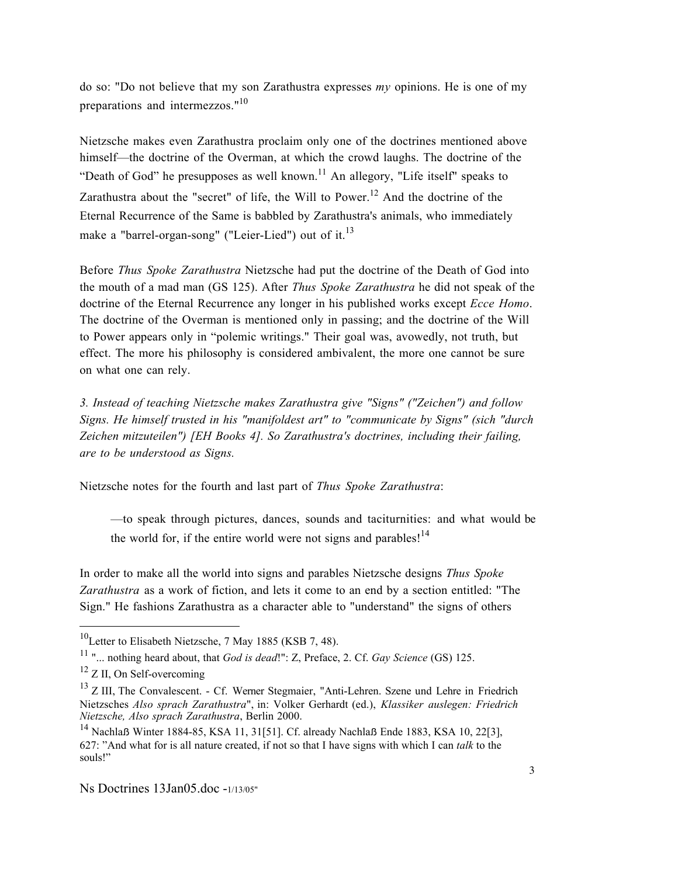do so: "Do not believe that my son Zarathustra expresses *my* opinions. He is one of my preparations and intermezzos."10

Nietzsche makes even Zarathustra proclaim only one of the doctrines mentioned above himself—the doctrine of the Overman, at which the crowd laughs. The doctrine of the "Death of God" he presupposes as well known.<sup>11</sup> An allegory, "Life itself" speaks to Zarathustra about the "secret" of life, the Will to Power.<sup>12</sup> And the doctrine of the Eternal Recurrence of the Same is babbled by Zarathustra's animals, who immediately make a "barrel-organ-song" ("Leier-Lied") out of it. $^{13}$ 

Before *Thus Spoke Zarathustra* Nietzsche had put the doctrine of the Death of God into the mouth of a mad man (GS 125). After *Thus Spoke Zarathustra* he did not speak of the doctrine of the Eternal Recurrence any longer in his published works except *Ecce Homo*. The doctrine of the Overman is mentioned only in passing; and the doctrine of the Will to Power appears only in "polemic writings." Their goal was, avowedly, not truth, but effect. The more his philosophy is considered ambivalent, the more one cannot be sure on what one can rely.

*3. Instead of teaching Nietzsche makes Zarathustra give "Signs" ("Zeichen") and follow Signs. He himself trusted in his "manifoldest art" to "communicate by Signs" (sich "durch Zeichen mitzuteilen") [EH Books 4]. So Zarathustra's doctrines, including their failing, are to be understood as Signs.*

Nietzsche notes for the fourth and last part of *Thus Spoke Zarathustra*:

—to speak through pictures, dances, sounds and taciturnities: and what would be the world for, if the entire world were not signs and parables!<sup>14</sup>

In order to make all the world into signs and parables Nietzsche designs *Thus Spoke Zarathustra* as a work of fiction, and lets it come to an end by a section entitled: "The Sign." He fashions Zarathustra as a character able to "understand" the signs of others

 $10$ Letter to Elisabeth Nietzsche, 7 May 1885 (KSB 7, 48).

<sup>11</sup> "... nothing heard about, that *God is dead*!": Z, Preface, 2. Cf. *Gay Science* (GS) 125.

 $12$  Z II, On Self-overcoming

 $13$  Z III, The Convalescent. - Cf. Werner Stegmaier, "Anti-Lehren. Szene und Lehre in Friedrich Nietzsches *Also sprach Zarathustra*", in: Volker Gerhardt (ed.), *Klassiker auslegen: Friedrich Nietzsche, Also sprach Zarathustra*, Berlin 2000.

<sup>14</sup> Nachlaß Winter 1884-85, KSA 11, 31[51]. Cf. already Nachlaß Ende 1883, KSA 10, 22[3], 627: "And what for is all nature created, if not so that I have signs with which I can *talk* to the souls!"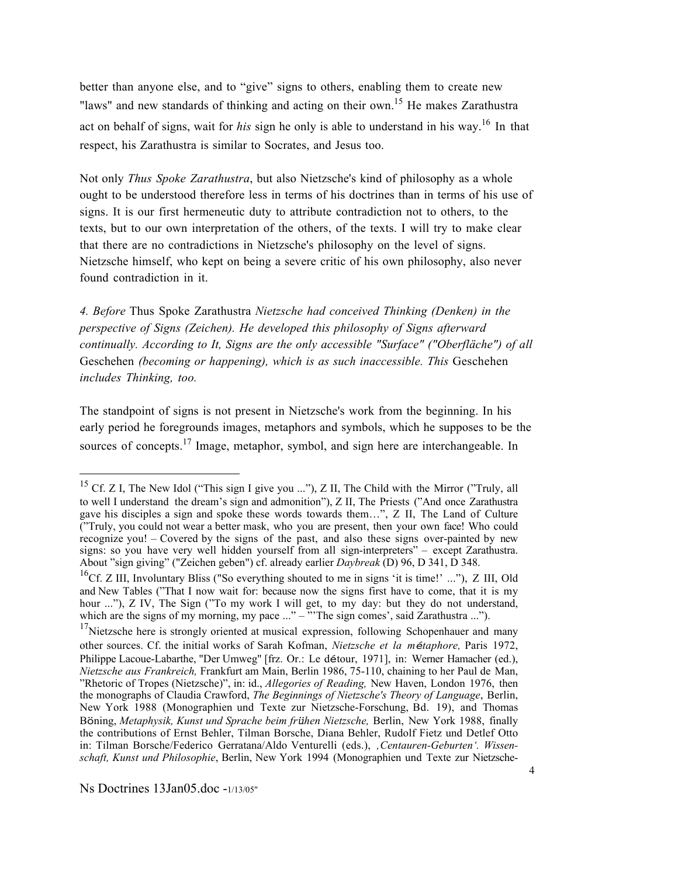better than anyone else, and to "give" signs to others, enabling them to create new "laws" and new standards of thinking and acting on their own.<sup>15</sup> He makes Zarathustra act on behalf of signs, wait for *his* sign he only is able to understand in his way.16 In that respect, his Zarathustra is similar to Socrates, and Jesus too.

Not only *Thus Spoke Zarathustra*, but also Nietzsche's kind of philosophy as a whole ought to be understood therefore less in terms of his doctrines than in terms of his use of signs. It is our first hermeneutic duty to attribute contradiction not to others, to the texts, but to our own interpretation of the others, of the texts. I will try to make clear that there are no contradictions in Nietzsche's philosophy on the level of signs. Nietzsche himself, who kept on being a severe critic of his own philosophy, also never found contradiction in it.

*4. Before* Thus Spoke Zarathustra *Nietzsche had conceived Thinking (Denken) in the perspective of Signs (Zeichen). He developed this philosophy of Signs afterward continually. According to It, Signs are the only accessible "Surface" ("Oberfläche") of all* Geschehen *(becoming or happening), which is as such inaccessible. This* Geschehen *includes Thinking, too.*

The standpoint of signs is not present in Nietzsche's work from the beginning. In his early period he foregrounds images, metaphors and symbols, which he supposes to be the sources of concepts.<sup>17</sup> Image, metaphor, symbol, and sign here are interchangeable. In

<sup>&</sup>lt;sup>15</sup> Cf. Z I, The New Idol ("This sign I give you ..."), Z II, The Child with the Mirror ("Truly, all to well I understand the dream's sign and admonition"), Z II, The Priests ("And once Zarathustra gave his disciples a sign and spoke these words towards them…", Z II, The Land of Culture ("Truly, you could not wear a better mask, who you are present, then your own face! Who could recognize you! – Covered by the signs of the past, and also these signs over-painted by new signs: so you have very well hidden yourself from all sign-interpreters" – except Zarathustra. About "sign giving" ("Zeichen geben") cf. already earlier *Daybreak* (D) 96, D 341, D 348.

<sup>&</sup>lt;sup>16</sup>Cf. Z III. Involuntary Bliss ("So everything shouted to me in signs 'it is time!' ..."), Z III, Old and New Tables ("That I now wait for: because now the signs first have to come, that it is my hour ..."), Z IV, The Sign ("To my work I will get, to my day: but they do not understand, which are the signs of my morning, my pace ..." – "'The sign comes', said Zarathustra ...").

 $17$ Nietzsche here is strongly oriented at musical expression, following Schopenhauer and many other sources. Cf. the initial works of Sarah Kofman, *Nietzsche et la m*é*taphore,* Paris 1972, Philippe Lacoue-Labarthe, "Der Umweg" [frz. Or.: Le détour, 1971], in: Werner Hamacher (ed.), *Nietzsche aus Frankreich,* Frankfurt am Main, Berlin 1986, 75-110, chaining to her Paul de Man, "Rhetoric of Tropes (Nietzsche)", in: id., *Allegories of Reading,* New Haven, London 1976, then the monographs of Claudia Crawford, *The Beginnings of Nietzsche's Theory of Language*, Berlin, New York 1988 (Monographien und Texte zur Nietzsche-Forschung, Bd. 19), and Thomas Böning, *Metaphysik, Kunst und Sprache beim fr*ü*hen Nietzsche,* Berlin, New York 1988, finally the contributions of Ernst Behler, Tilman Borsche, Diana Behler, Rudolf Fietz und Detlef Otto in: Tilman Borsche/Federico Gerratana/Aldo Venturelli (eds.), *'Centauren-Geburten'. Wissenschaft, Kunst und Philosophie*, Berlin, New York 1994 (Monographien und Texte zur Nietzsche-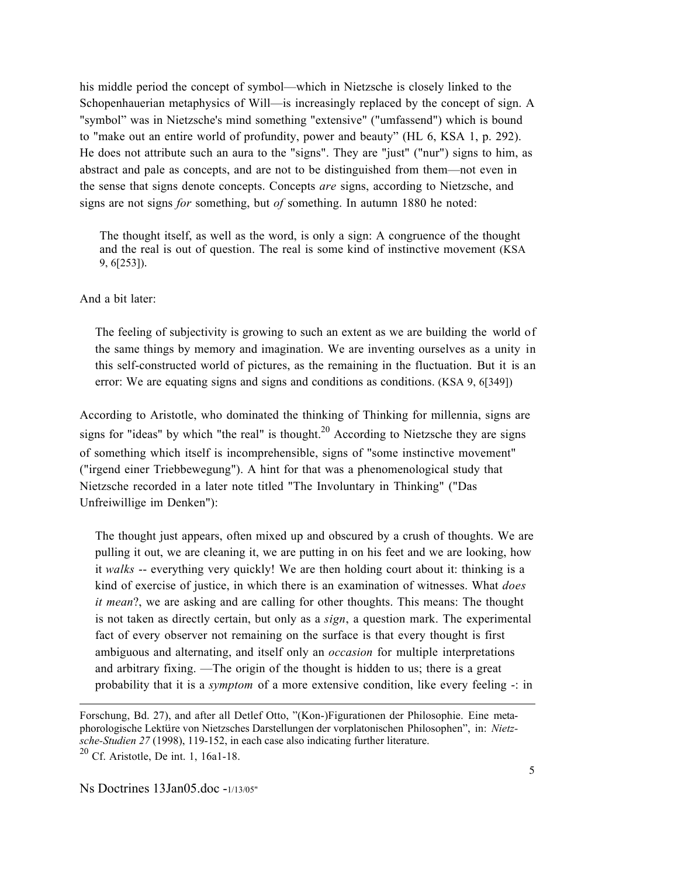his middle period the concept of symbol—which in Nietzsche is closely linked to the Schopenhauerian metaphysics of Will—is increasingly replaced by the concept of sign. A "symbol" was in Nietzsche's mind something "extensive" ("umfassend") which is bound to "make out an entire world of profundity, power and beauty" (HL 6, KSA 1, p. 292). He does not attribute such an aura to the "signs". They are "just" ("nur") signs to him, as abstract and pale as concepts, and are not to be distinguished from them—not even in the sense that signs denote concepts. Concepts *are* signs, according to Nietzsche, and signs are not signs *for* something, but *of* something. In autumn 1880 he noted:

The thought itself, as well as the word, is only a sign: A congruence of the thought and the real is out of question. The real is some kind of instinctive movement (KSA 9, 6[253]).

## And a bit later:

The feeling of subjectivity is growing to such an extent as we are building the world of the same things by memory and imagination. We are inventing ourselves as a unity in this self-constructed world of pictures, as the remaining in the fluctuation. But it is an error: We are equating signs and signs and conditions as conditions. (KSA 9, 6[349])

According to Aristotle, who dominated the thinking of Thinking for millennia, signs are signs for "ideas" by which "the real" is thought.<sup>20</sup> According to Nietzsche they are signs of something which itself is incomprehensible, signs of "some instinctive movement" ("irgend einer Triebbewegung"). A hint for that was a phenomenological study that Nietzsche recorded in a later note titled "The Involuntary in Thinking" ("Das Unfreiwillige im Denken"):

The thought just appears, often mixed up and obscured by a crush of thoughts. We are pulling it out, we are cleaning it, we are putting in on his feet and we are looking, how it *walks* -- everything very quickly! We are then holding court about it: thinking is a kind of exercise of justice, in which there is an examination of witnesses. What *does it mean*?, we are asking and are calling for other thoughts. This means: The thought is not taken as directly certain, but only as a *sign*, a question mark. The experimental fact of every observer not remaining on the surface is that every thought is first ambiguous and alternating, and itself only an *occasion* for multiple interpretations and arbitrary fixing. —The origin of the thought is hidden to us; there is a great probability that it is a *symptom* of a more extensive condition, like every feeling -: in

Forschung, Bd. 27), and after all Detlef Otto, "(Kon-)Figurationen der Philosophie. Eine metaphorologische Lektüre von Nietzsches Darstellungen der vorplatonischen Philosophen", in: *Nietzsche-Studien 27* (1998), 119-152, in each case also indicating further literature.

<sup>20</sup> Cf. Aristotle, De int. 1, 16a1-18.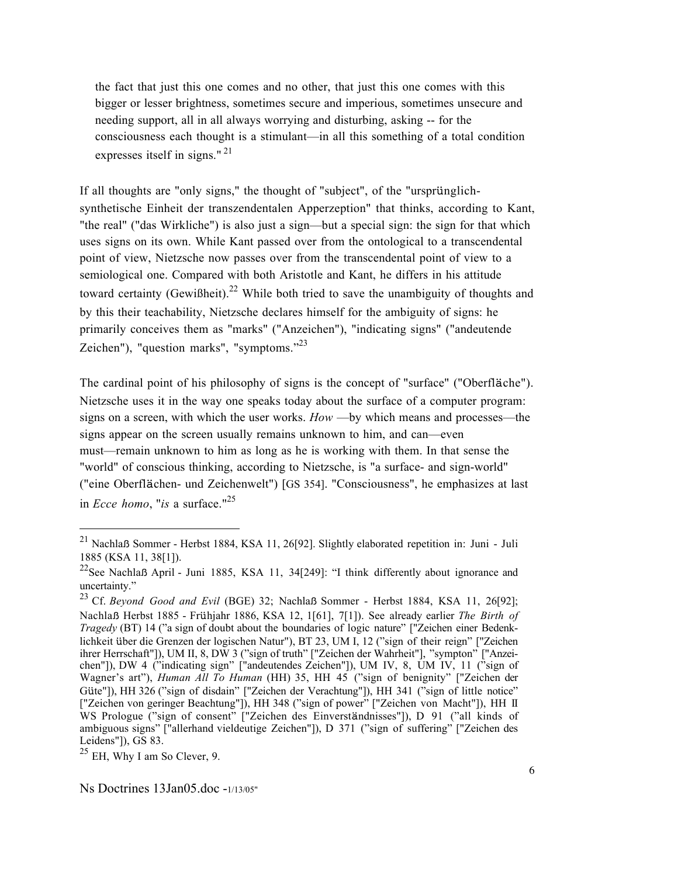the fact that just this one comes and no other, that just this one comes with this bigger or lesser brightness, sometimes secure and imperious, sometimes unsecure and needing support, all in all always worrying and disturbing, asking -- for the consciousness each thought is a stimulant—in all this something of a total condition expresses itself in signs." $^{21}$ 

If all thoughts are "only signs," the thought of "subject", of the "ursprünglichsynthetische Einheit der transzendentalen Apperzeption" that thinks, according to Kant, "the real" ("das Wirkliche") is also just a sign—but a special sign: the sign for that which uses signs on its own. While Kant passed over from the ontological to a transcendental point of view, Nietzsche now passes over from the transcendental point of view to a semiological one. Compared with both Aristotle and Kant, he differs in his attitude toward certainty (Gewißheit).<sup>22</sup> While both tried to save the unambiguity of thoughts and by this their teachability, Nietzsche declares himself for the ambiguity of signs: he primarily conceives them as "marks" ("Anzeichen"), "indicating signs" ("andeutende Zeichen"), "question marks", "symptoms."<sup>23</sup>

The cardinal point of his philosophy of signs is the concept of "surface" ("Oberfläche"). Nietzsche uses it in the way one speaks today about the surface of a computer program: signs on a screen, with which the user works. *How* —by which means and processes—the signs appear on the screen usually remains unknown to him, and can—even must—remain unknown to him as long as he is working with them. In that sense the "world" of conscious thinking, according to Nietzsche, is "a surface- and sign-world" ("eine Oberflächen- und Zeichenwelt") [GS 354]. "Consciousness", he emphasizes at last in *Ecce homo*, "*is* a surface."25

<sup>21</sup> Nachlaß Sommer - Herbst 1884, KSA 11, 26[92]. Slightly elaborated repetition in: Juni - Juli 1885 (KSA 11, 38[1]).

<sup>22</sup>See Nachlaß April - Juni 1885, KSA 11, 34[249]: "I think differently about ignorance and uncertainty."

<sup>23</sup> Cf. *Beyond Good and Evil* (BGE) 32; Nachlaß Sommer - Herbst 1884, KSA 11, 26[92]; Nachlaß Herbst 1885 - Frühjahr 1886, KSA 12, 1[61], 7[1]). See already earlier *The Birth of Tragedy* (BT) 14 ("a sign of doubt about the boundaries of logic nature" ["Zeichen einer Bedenklichkeit über die Grenzen der logischen Natur"), BT 23, UM I, 12 ("sign of their reign" ["Zeichen ihrer Herrschaft"]), UM II, 8, DW 3 ("sign of truth" ["Zeichen der Wahrheit"], "sympton" ["Anzeichen"]), DW 4 ("indicating sign" ["andeutendes Zeichen"]), UM IV, 8, UM IV, 11 ("sign of Wagner's art"), *Human All To Human* (HH) 35, HH 45 ("sign of benignity" ["Zeichen der Güte"]), HH 326 ("sign of disdain" ["Zeichen der Verachtung"]), HH 341 ("sign of little notice" ["Zeichen von geringer Beachtung"]), HH 348 ("sign of power" ["Zeichen von Macht"]), HH II WS Prologue ("sign of consent" ["Zeichen des Einverständnisses"]), D 91 ("all kinds of ambiguous signs" ["allerhand vieldeutige Zeichen"]), D 371 ("sign of suffering" ["Zeichen des Leidens"]), GS 83.

 $25$  EH, Why I am So Clever, 9.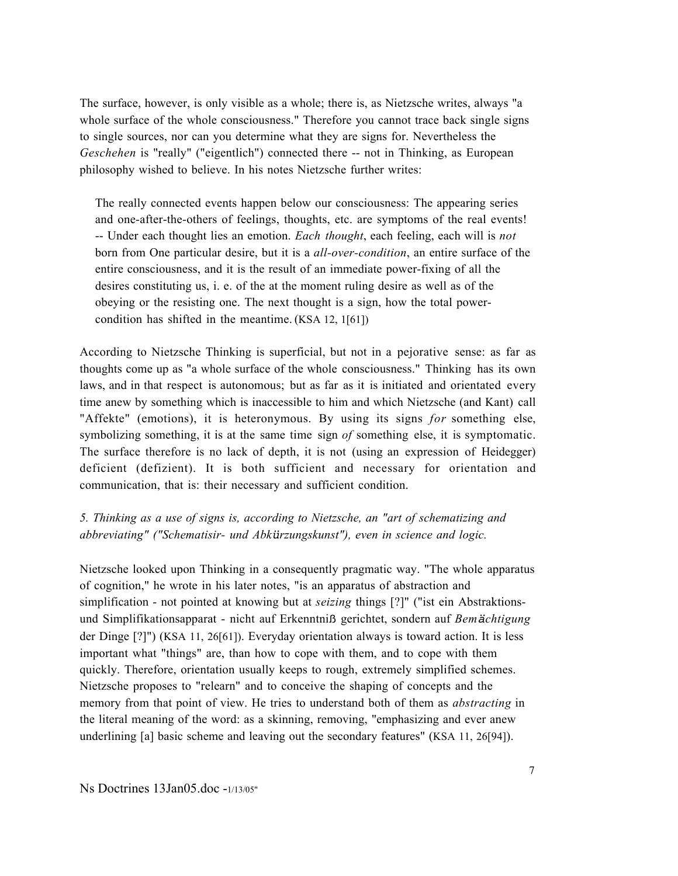The surface, however, is only visible as a whole; there is, as Nietzsche writes, always "a whole surface of the whole consciousness." Therefore you cannot trace back single signs to single sources, nor can you determine what they are signs for. Nevertheless the *Geschehen* is "really" ("eigentlich") connected there -- not in Thinking, as European philosophy wished to believe. In his notes Nietzsche further writes:

The really connected events happen below our consciousness: The appearing series and one-after-the-others of feelings, thoughts, etc. are symptoms of the real events! -- Under each thought lies an emotion. *Each thought*, each feeling, each will is *not* born from One particular desire, but it is a *all-over-condition*, an entire surface of the entire consciousness, and it is the result of an immediate power-fixing of all the desires constituting us, i. e. of the at the moment ruling desire as well as of the obeying or the resisting one. The next thought is a sign, how the total powercondition has shifted in the meantime. (KSA 12, 1[61])

According to Nietzsche Thinking is superficial, but not in a pejorative sense: as far as thoughts come up as "a whole surface of the whole consciousness." Thinking has its own laws, and in that respect is autonomous; but as far as it is initiated and orientated every time anew by something which is inaccessible to him and which Nietzsche (and Kant) call "Affekte" (emotions), it is heteronymous. By using its signs *for* something else, symbolizing something, it is at the same time sign *of* something else, it is symptomatic. The surface therefore is no lack of depth, it is not (using an expression of Heidegger) deficient (defizient). It is both sufficient and necessary for orientation and communication, that is: their necessary and sufficient condition.

## *5. Thinking as a use of signs is, according to Nietzsche, an "art of schematizing and abbreviating" ("Schematisir- und Abk*ü*rzungskunst"), even in science and logic.*

Nietzsche looked upon Thinking in a consequently pragmatic way. "The whole apparatus of cognition," he wrote in his later notes, "is an apparatus of abstraction and simplification - not pointed at knowing but at *seizing* things [?]" ("ist ein Abstraktionsund Simplifikationsapparat - nicht auf Erkenntniß gerichtet, sondern auf *Bem*ä*chtigung* der Dinge [?]") (KSA 11, 26[61]). Everyday orientation always is toward action. It is less important what "things" are, than how to cope with them, and to cope with them quickly. Therefore, orientation usually keeps to rough, extremely simplified schemes. Nietzsche proposes to "relearn" and to conceive the shaping of concepts and the memory from that point of view. He tries to understand both of them as *abstracting* in the literal meaning of the word: as a skinning, removing, "emphasizing and ever anew underlining [a] basic scheme and leaving out the secondary features" (KSA 11, 26[94]).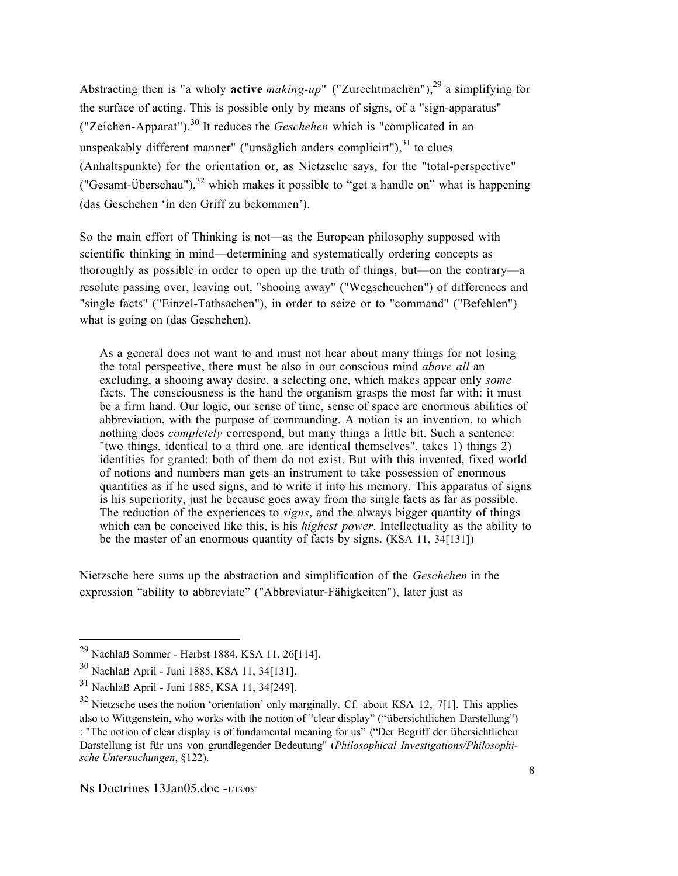Abstracting then is "a wholy **active** *making-up*" ("Zurechtmachen"),<sup>29</sup> a simplifying for the surface of acting. This is possible only by means of signs, of a "sign-apparatus" ("Zeichen-Apparat").30 It reduces the *Geschehen* which is "complicated in an unspeakably different manner" ("unsäglich anders complicirt"), $31$  to clues (Anhaltspunkte) for the orientation or, as Nietzsche says, for the "total-perspective" ("Gesamt-Überschau"),  $32$  which makes it possible to "get a handle on" what is happening (das Geschehen 'in den Griff zu bekommen').

So the main effort of Thinking is not—as the European philosophy supposed with scientific thinking in mind—determining and systematically ordering concepts as thoroughly as possible in order to open up the truth of things, but—on the contrary—a resolute passing over, leaving out, "shooing away" ("Wegscheuchen") of differences and "single facts" ("Einzel-Tathsachen"), in order to seize or to "command" ("Befehlen") what is going on (das Geschehen).

As a general does not want to and must not hear about many things for not losing the total perspective, there must be also in our conscious mind *above all* an excluding, a shooing away desire, a selecting one, which makes appear only *some* facts. The consciousness is the hand the organism grasps the most far with: it must be a firm hand. Our logic, our sense of time, sense of space are enormous abilities of abbreviation, with the purpose of commanding. A notion is an invention, to which nothing does *completely* correspond, but many things a little bit. Such a sentence: "two things, identical to a third one, are identical themselves", takes 1) things 2) identities for granted: both of them do not exist. But with this invented, fixed world of notions and numbers man gets an instrument to take possession of enormous quantities as if he used signs, and to write it into his memory. This apparatus of signs is his superiority, just he because goes away from the single facts as far as possible. The reduction of the experiences to *signs*, and the always bigger quantity of things which can be conceived like this, is his *highest power*. Intellectuality as the ability to be the master of an enormous quantity of facts by signs. (KSA 11, 34[131])

Nietzsche here sums up the abstraction and simplification of the *Geschehen* in the expression "ability to abbreviate" ("Abbreviatur-Fähigkeiten"), later just as

<sup>29</sup> Nachlaß Sommer - Herbst 1884, KSA 11, 26[114].

<sup>30</sup> Nachlaß April - Juni 1885, KSA 11, 34[131].

<sup>31</sup> Nachlaß April - Juni 1885, KSA 11, 34[249].

 $32$  Nietzsche uses the notion 'orientation' only marginally. Cf. about KSA 12, 7[1]. This applies also to Wittgenstein, who works with the notion of "clear display" ("übersichtlichen Darstellung") : "The notion of clear display is of fundamental meaning for us" ("Der Begriff der übersichtlichen Darstellung ist für uns von grundlegender Bedeutung" (*Philosophical Investigations/Philosophische Untersuchungen*, §122).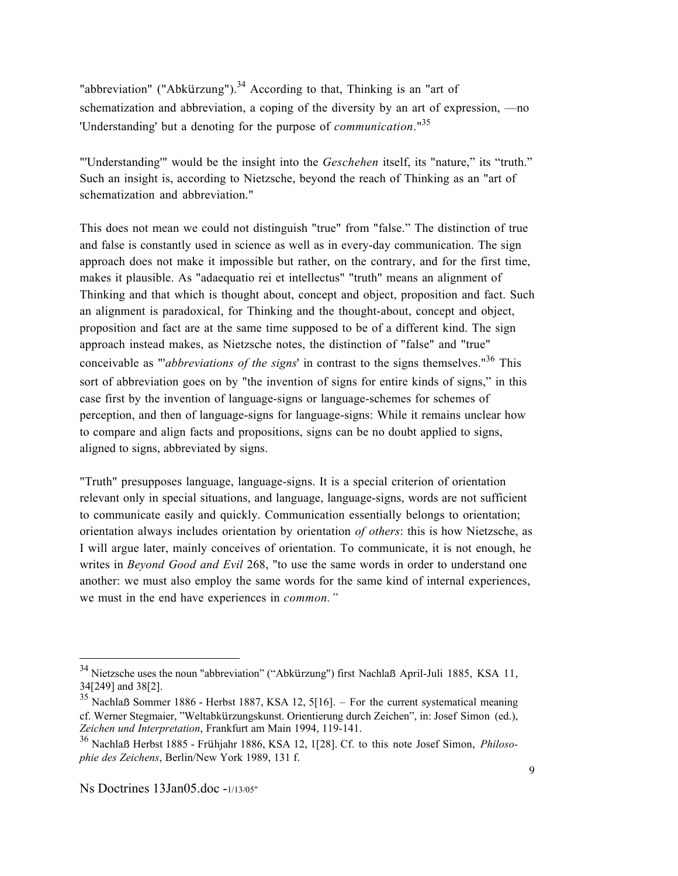"abbreviation" ("Abkürzung").<sup>34</sup> According to that, Thinking is an "art of schematization and abbreviation, a coping of the diversity by an art of expression, —no 'Understanding' but a denoting for the purpose of *communication*."<sup>35</sup>

"'Understanding'" would be the insight into the *Geschehen* itself, its "nature," its "truth." Such an insight is, according to Nietzsche, beyond the reach of Thinking as an "art of schematization and abbreviation."

This does not mean we could not distinguish "true" from "false." The distinction of true and false is constantly used in science as well as in every-day communication. The sign approach does not make it impossible but rather, on the contrary, and for the first time, makes it plausible. As "adaequatio rei et intellectus" "truth" means an alignment of Thinking and that which is thought about, concept and object, proposition and fact. Such an alignment is paradoxical, for Thinking and the thought-about, concept and object, proposition and fact are at the same time supposed to be of a different kind. The sign approach instead makes, as Nietzsche notes, the distinction of "false" and "true" conceivable as "'*abbreviations of the signs*' in contrast to the signs themselves."36 This sort of abbreviation goes on by "the invention of signs for entire kinds of signs," in this case first by the invention of language-signs or language-schemes for schemes of perception, and then of language-signs for language-signs: While it remains unclear how to compare and align facts and propositions, signs can be no doubt applied to signs, aligned to signs, abbreviated by signs.

"Truth" presupposes language, language-signs. It is a special criterion of orientation relevant only in special situations, and language, language-signs, words are not sufficient to communicate easily and quickly. Communication essentially belongs to orientation; orientation always includes orientation by orientation *of others*: this is how Nietzsche, as I will argue later, mainly conceives of orientation. To communicate, it is not enough, he writes in *Beyond Good and Evil* 268, "to use the same words in order to understand one another: we must also employ the same words for the same kind of internal experiences, we must in the end have experiences in *common."*

<sup>34</sup> Nietzsche uses the noun "abbreviation" ("Abkürzung") first Nachlaß April-Juli 1885, KSA 11, 34[249] and 38[2].

<sup>35</sup> Nachlaß Sommer 1886 - Herbst 1887, KSA 12, 5[16]. – For the current systematical meaning cf. Werner Stegmaier, "Weltabkürzungskunst. Orientierung durch Zeichen", in: Josef Simon (ed.), *Zeichen und Interpretation*, Frankfurt am Main 1994, 119-141.

<sup>36</sup> Nachlaß Herbst 1885 - Frühjahr 1886, KSA 12, 1[28]. Cf. to this note Josef Simon, *Philosophie des Zeichens*, Berlin/New York 1989, 131 f.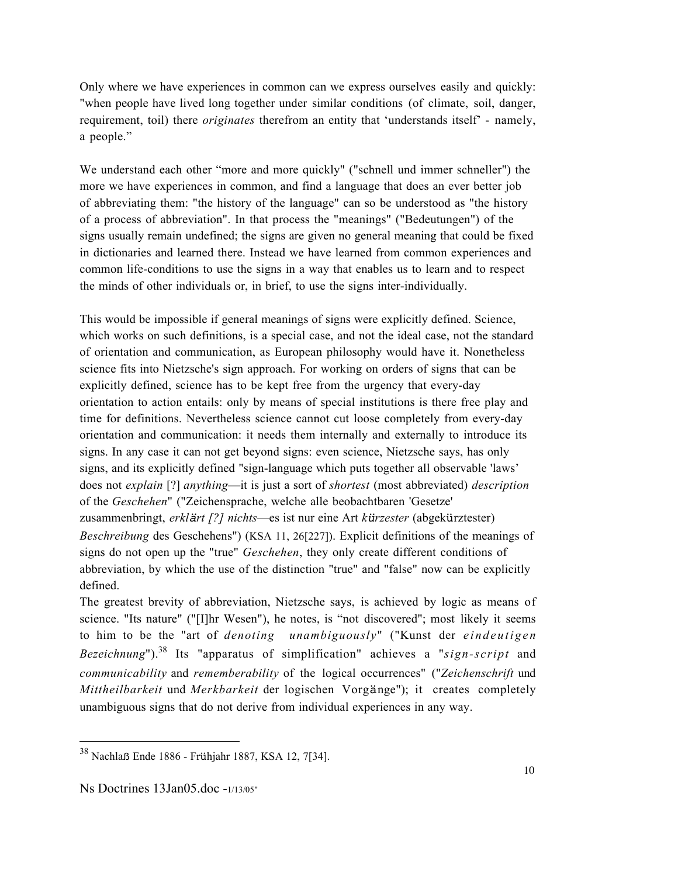Only where we have experiences in common can we express ourselves easily and quickly: "when people have lived long together under similar conditions (of climate, soil, danger, requirement, toil) there *originates* therefrom an entity that 'understands itself' - namely, a people."

We understand each other "more and more quickly" ("schnell und immer schneller") the more we have experiences in common, and find a language that does an ever better job of abbreviating them: "the history of the language" can so be understood as "the history of a process of abbreviation". In that process the "meanings" ("Bedeutungen") of the signs usually remain undefined; the signs are given no general meaning that could be fixed in dictionaries and learned there. Instead we have learned from common experiences and common life-conditions to use the signs in a way that enables us to learn and to respect the minds of other individuals or, in brief, to use the signs inter-individually.

This would be impossible if general meanings of signs were explicitly defined. Science, which works on such definitions, is a special case, and not the ideal case, not the standard of orientation and communication, as European philosophy would have it. Nonetheless science fits into Nietzsche's sign approach. For working on orders of signs that can be explicitly defined, science has to be kept free from the urgency that every-day orientation to action entails: only by means of special institutions is there free play and time for definitions. Nevertheless science cannot cut loose completely from every-day orientation and communication: it needs them internally and externally to introduce its signs. In any case it can not get beyond signs: even science, Nietzsche says, has only signs, and its explicitly defined "sign-language which puts together all observable 'laws' does not *explain* [?] *anything*—it is just a sort of *shortest* (most abbreviated) *description* of the *Geschehen*" ("Zeichensprache, welche alle beobachtbaren 'Gesetze' zusammenbringt, *erkl*ä*rt [?] nichts*—es ist nur eine Art *k*ü*rzester* (abgekürztester) *Beschreibung* des Geschehens") (KSA 11, 26[227]). Explicit definitions of the meanings of signs do not open up the "true" *Geschehen*, they only create different conditions of abbreviation, by which the use of the distinction "true" and "false" now can be explicitly defined.

The greatest brevity of abbreviation, Nietzsche says, is achieved by logic as means of science. "Its nature" ("[I]hr Wesen"), he notes, is "not discovered"; most likely it seems to him to be the "art of *denoting unambiguously*" ("Kunst der *eindeutigen Bezeichnung*").<sup>38</sup> Its "apparatus of simplification" achieves a "*sign-script* and *communicability* and *rememberability* of the logical occurrences" ("*Zeichenschrift* und *Mittheilbarkeit* und *Merkbarkeit* der logischen Vorgänge"); it creates completely unambiguous signs that do not derive from individual experiences in any way.

<sup>38</sup> Nachlaß Ende 1886 - Frühjahr 1887, KSA 12, 7[34].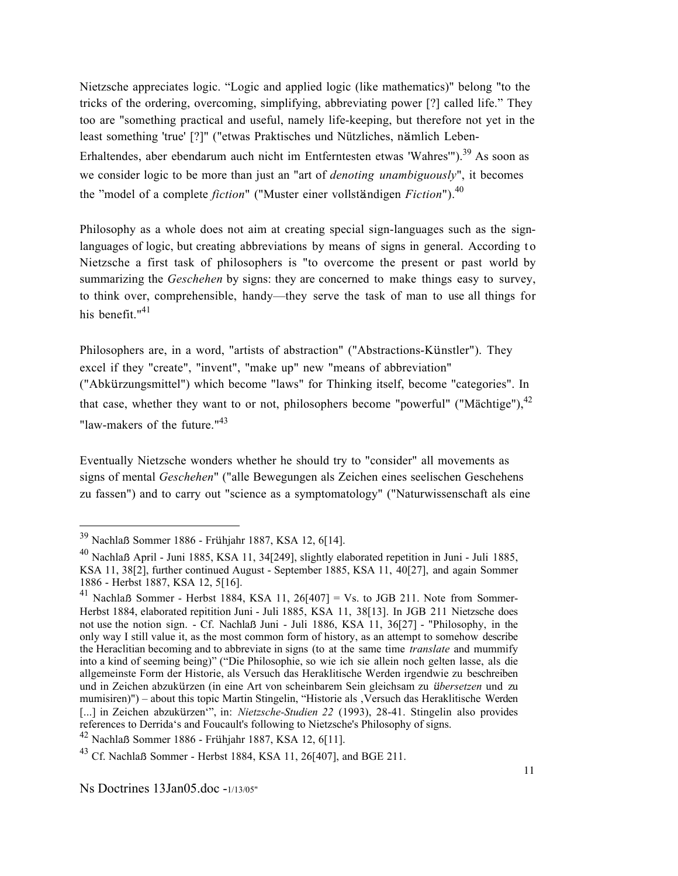Nietzsche appreciates logic. "Logic and applied logic (like mathematics)" belong "to the tricks of the ordering, overcoming, simplifying, abbreviating power [?] called life." They too are "something practical and useful, namely life-keeping, but therefore not yet in the least something 'true' [?]" ("etwas Praktisches und Nützliches, nämlich Leben-Erhaltendes, aber ebendarum auch nicht im Entferntesten etwas 'Wahres'").<sup>39</sup> As soon as we consider logic to be more than just an "art of *denoting unambiguously*", it becomes the "model of a complete *fiction*" ("Muster einer vollständigen *Fiction*").<sup>40</sup>

Philosophy as a whole does not aim at creating special sign-languages such as the signlanguages of logic, but creating abbreviations by means of signs in general. According to Nietzsche a first task of philosophers is "to overcome the present or past world by summarizing the *Geschehen* by signs: they are concerned to make things easy to survey, to think over, comprehensible, handy—they serve the task of man to use all things for his benefit." $41$ 

Philosophers are, in a word, "artists of abstraction" ("Abstractions-Künstler"). They excel if they "create", "invent", "make up" new "means of abbreviation" ("Abkürzungsmittel") which become "laws" for Thinking itself, become "categories". In that case, whether they want to or not, philosophers become "powerful" ("Mächtige").<sup>42</sup> "law-makers of the future."<sup>43</sup>

Eventually Nietzsche wonders whether he should try to "consider" all movements as signs of mental *Geschehen*" ("alle Bewegungen als Zeichen eines seelischen Geschehens zu fassen") and to carry out "science as a symptomatology" ("Naturwissenschaft als eine

<sup>39</sup> Nachlaß Sommer 1886 - Frühjahr 1887, KSA 12, 6[14].

<sup>40</sup> Nachlaß April - Juni 1885, KSA 11, 34[249], slightly elaborated repetition in Juni - Juli 1885, KSA 11, 38[2], further continued August - September 1885, KSA 11, 40[27], and again Sommer 1886 - Herbst 1887, KSA 12, 5[16].

<sup>&</sup>lt;sup>41</sup> Nachlaß Sommer - Herbst 1884, KSA 11, 26[407] = Vs. to JGB 211. Note from Sommer-Herbst 1884, elaborated repitition Juni - Juli 1885, KSA 11, 38[13]. In JGB 211 Nietzsche does not use the notion sign. - Cf. Nachlaß Juni - Juli 1886, KSA 11, 36[27] - "Philosophy, in the only way I still value it, as the most common form of history, as an attempt to somehow describe the Heraclitian becoming and to abbreviate in signs (to at the same time *translate* and mummify into a kind of seeming being)" ("Die Philosophie, so wie ich sie allein noch gelten lasse, als die allgemeinste Form der Historie, als Versuch das Heraklitische Werden irgendwie zu beschreiben und in Zeichen abzukürzen (in eine Art von scheinbarem Sein gleichsam zu <sup>ü</sup>*bersetzen* und zu mumisiren)") – about this topic Martin Stingelin, "Historie als 'Versuch das Heraklitische Werden [...] in Zeichen abzukürzen"', in: *Nietzsche-Studien 22* (1993), 28-41. Stingelin also provides references to Derrida's and Foucault's following to Nietzsche's Philosophy of signs.

<sup>42</sup> Nachlaß Sommer 1886 - Frühjahr 1887, KSA 12, 6[11].

<sup>43</sup> Cf. Nachlaß Sommer - Herbst 1884, KSA 11, 26[407], and BGE 211.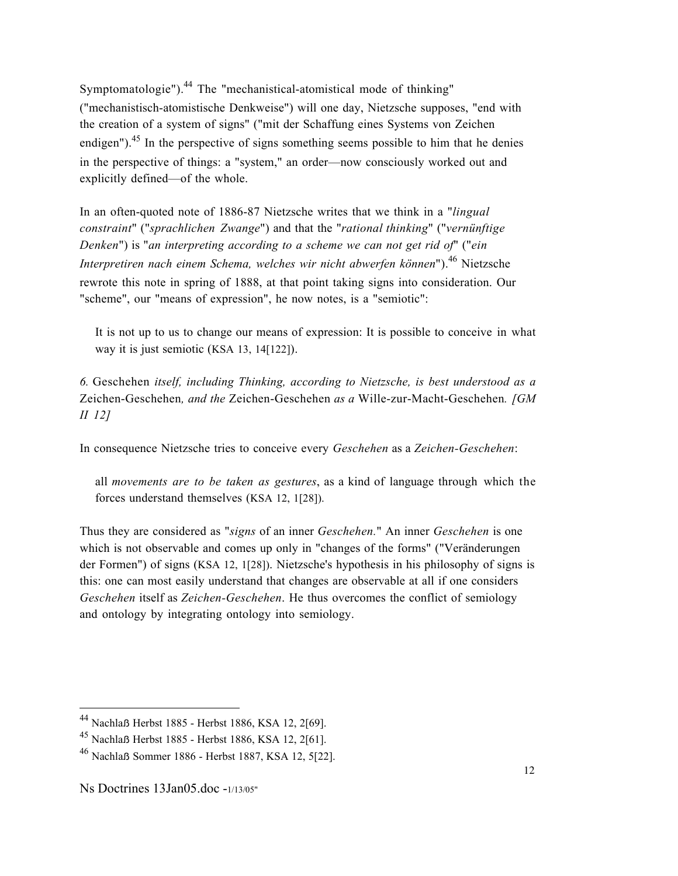Symptomatologie").<sup>44</sup> The "mechanistical-atomistical mode of thinking" ("mechanistisch-atomistische Denkweise") will one day, Nietzsche supposes, "end with the creation of a system of signs" ("mit der Schaffung eines Systems von Zeichen endigen").<sup>45</sup> In the perspective of signs something seems possible to him that he denies in the perspective of things: a "system," an order—now consciously worked out and explicitly defined—of the whole.

In an often-quoted note of 1886-87 Nietzsche writes that we think in a "*lingual constraint*" ("*sprachlichen Zwange*") and that the "*rational thinking*" ("*vernünftige Denken*") is "*an interpreting according to a scheme we can not get rid of*" ("*ein Interpretiren nach einem Schema, welches wir nicht abwerfen können*").<sup>46</sup> Nietzsche rewrote this note in spring of 1888, at that point taking signs into consideration. Our "scheme", our "means of expression", he now notes, is a "semiotic":

It is not up to us to change our means of expression: It is possible to conceive in what way it is just semiotic (KSA 13, 14[122]).

*6.* Geschehen *itself, including Thinking, according to Nietzsche, is best understood as a* Zeichen-Geschehen*, and the* Zeichen-Geschehen *as a* Wille-zur-Macht-Geschehen*. [GM II 12]*

In consequence Nietzsche tries to conceive every *Geschehen* as a *Zeichen-Geschehen*:

all *movements are to be taken as gestures*, as a kind of language through which the forces understand themselves (KSA 12, 1[28]).

Thus they are considered as "*signs* of an inner *Geschehen.*" An inner *Geschehen* is one which is not observable and comes up only in "changes of the forms" ("Veränderungen der Formen") of signs (KSA 12, 1[28]). Nietzsche's hypothesis in his philosophy of signs is this: one can most easily understand that changes are observable at all if one considers *Geschehen* itself as *Zeichen-Geschehen*. He thus overcomes the conflict of semiology and ontology by integrating ontology into semiology.

<sup>44</sup> Nachlaß Herbst 1885 - Herbst 1886, KSA 12, 2[69].

<sup>45</sup> Nachlaß Herbst 1885 - Herbst 1886, KSA 12, 2[61].

<sup>46</sup> Nachlaß Sommer 1886 - Herbst 1887, KSA 12, 5[22].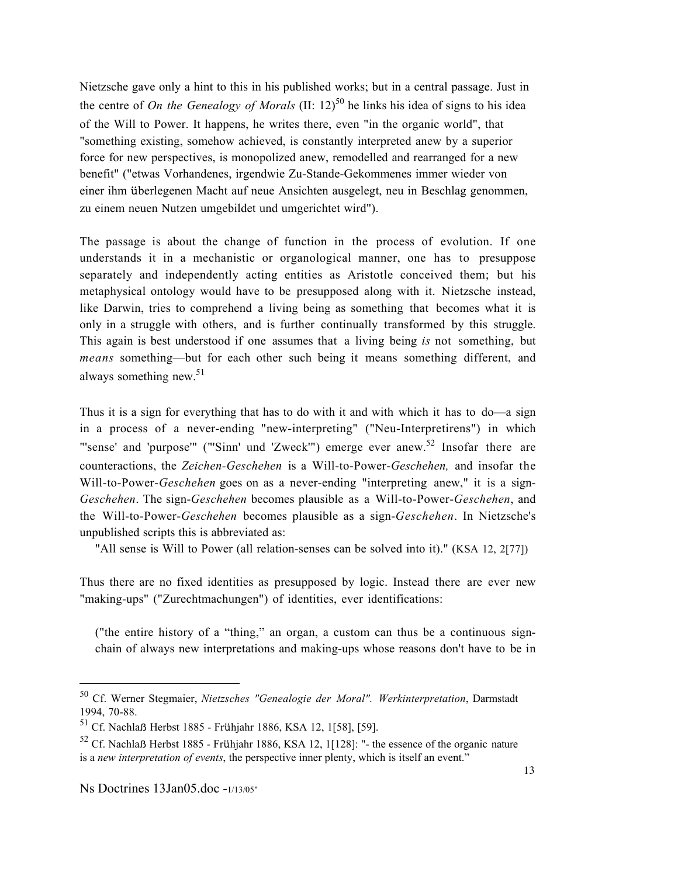Nietzsche gave only a hint to this in his published works; but in a central passage. Just in the centre of *On the Genealogy of Morals* (II: 12)<sup>50</sup> he links his idea of signs to his idea of the Will to Power. It happens, he writes there, even "in the organic world", that "something existing, somehow achieved, is constantly interpreted anew by a superior force for new perspectives, is monopolized anew, remodelled and rearranged for a new benefit" ("etwas Vorhandenes, irgendwie Zu-Stande-Gekommenes immer wieder von einer ihm überlegenen Macht auf neue Ansichten ausgelegt, neu in Beschlag genommen, zu einem neuen Nutzen umgebildet und umgerichtet wird").

The passage is about the change of function in the process of evolution. If one understands it in a mechanistic or organological manner, one has to presuppose separately and independently acting entities as Aristotle conceived them; but his metaphysical ontology would have to be presupposed along with it. Nietzsche instead, like Darwin, tries to comprehend a living being as something that becomes what it is only in a struggle with others, and is further continually transformed by this struggle. This again is best understood if one assumes that a living being *is* not something, but *means* something—but for each other such being it means something different, and always something new. $51$ 

Thus it is a sign for everything that has to do with it and with which it has to do—a sign in a process of a never-ending "new-interpreting" ("Neu-Interpretirens") in which "'sense' and 'purpose'" ("'Sinn' und 'Zweck'") emerge ever anew.<sup>52</sup> Insofar there are counteractions, the *Zeichen-Geschehen* is a Will-to-Power-*Geschehen,* and insofar the Will-to-Power-*Geschehen* goes on as a never-ending "interpreting anew," it is a sign-*Geschehen*. The sign-*Geschehen* becomes plausible as a Will-to-Power-*Geschehen*, and the Will-to-Power-*Geschehen* becomes plausible as a sign-*Geschehen*. In Nietzsche's unpublished scripts this is abbreviated as:

"All sense is Will to Power (all relation-senses can be solved into it)." (KSA 12, 2[77])

Thus there are no fixed identities as presupposed by logic. Instead there are ever new "making-ups" ("Zurechtmachungen") of identities, ever identifications:

("the entire history of a "thing," an organ, a custom can thus be a continuous signchain of always new interpretations and making-ups whose reasons don't have to be in

<sup>50</sup> Cf. Werner Stegmaier, *Nietzsches "Genealogie der Moral". Werkinterpretation*, Darmstadt 1994, 70-88.

<sup>51</sup> Cf. Nachlaß Herbst 1885 - Frühjahr 1886, KSA 12, 1[58], [59].

<sup>52</sup> Cf. Nachlaß Herbst 1885 - Frühjahr 1886, KSA 12, 1[128]: "- the essence of the organic nature is a *new interpretation of events*, the perspective inner plenty, which is itself an event."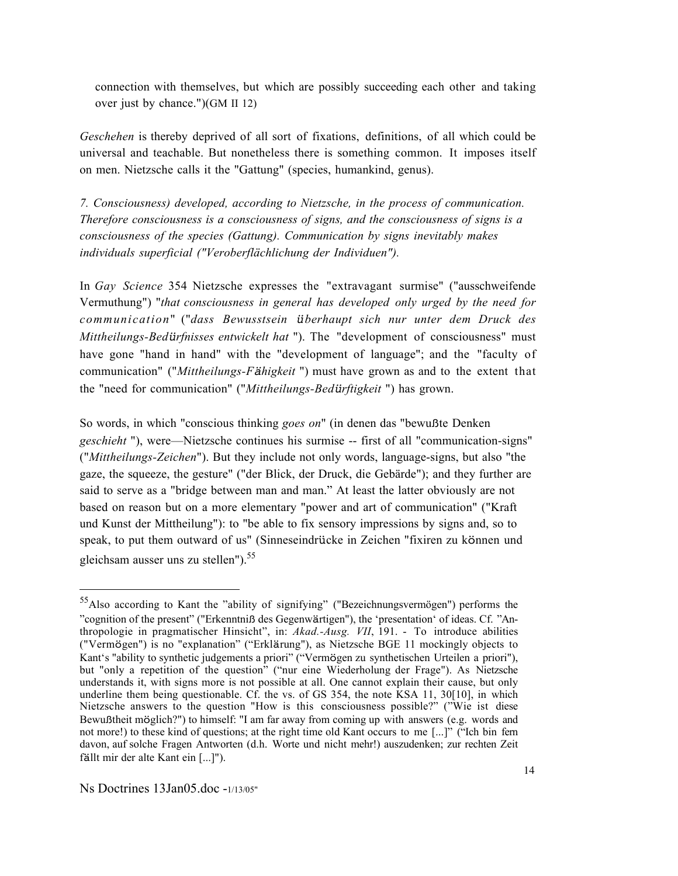connection with themselves, but which are possibly succeeding each other and taking over just by chance.")(GM II 12)

*Geschehen* is thereby deprived of all sort of fixations, definitions, of all which could be universal and teachable. But nonetheless there is something common. It imposes itself on men. Nietzsche calls it the "Gattung" (species, humankind, genus).

*7. Consciousness) developed, according to Nietzsche, in the process of communication. Therefore consciousness is a consciousness of signs, and the consciousness of signs is a consciousness of the species (Gattung). Communication by signs inevitably makes individuals superficial ("Veroberflächlichung der Individuen").*

In *Gay Science* 354 Nietzsche expresses the "extravagant surmise" ("ausschweifende Vermuthung") "*that consciousness in general has developed only urged by the need for communication*" ("*dass Bewusstsein* ü*berhaupt sich nur unter dem Druck des Mittheilungs-Bed*ü*rfnisses entwickelt hat* "). The "development of consciousness" must have gone "hand in hand" with the "development of language"; and the "faculty of communication" ("*Mittheilungs-F*ä*higkeit* ") must have grown as and to the extent that the "need for communication" ("*Mittheilungs-Bed*ü*rftigkeit* ") has grown.

So words, in which "conscious thinking *goes on*" (in denen das "bewußte Denken *geschieht* "), were—Nietzsche continues his surmise -- first of all "communication-signs" ("*Mittheilungs-Zeichen*"). But they include not only words, language-signs, but also "the gaze, the squeeze, the gesture" ("der Blick, der Druck, die Gebärde"); and they further are said to serve as a "bridge between man and man." At least the latter obviously are not based on reason but on a more elementary "power and art of communication" ("Kraft und Kunst der Mittheilung"): to "be able to fix sensory impressions by signs and, so to speak, to put them outward of us" (Sinneseindrücke in Zeichen "fixiren zu können und gleichsam ausser uns zu stellen"). $55$ 

<sup>55</sup>Also according to Kant the "ability of signifying" ("Bezeichnungsvermögen") performs the "cognition of the present" ("Erkenntniß des Gegenwärtigen"), the 'presentation' of ideas. Cf. "Anthropologie in pragmatischer Hinsicht", in: *Akad.-Ausg. VII*, 191. - To introduce abilities ("Vermögen") is no "explanation" ("Erklärung"), as Nietzsche BGE 11 mockingly objects to Kant's "ability to synthetic judgements a priori" ("Vermögen zu synthetischen Urteilen a priori"), but "only a repetition of the question" ("nur eine Wiederholung der Frage"). As Nietzsche understands it, with signs more is not possible at all. One cannot explain their cause, but only underline them being questionable. Cf. the vs. of GS 354, the note KSA 11, 30 $[10]$ , in which Nietzsche answers to the question "How is this consciousness possible?" ("Wie ist diese Bewußtheit möglich?") to himself: "I am far away from coming up with answers (e.g. words and not more!) to these kind of questions; at the right time old Kant occurs to me [...]" ("Ich bin fern davon, auf solche Fragen Antworten (d.h. Worte und nicht mehr!) auszudenken; zur rechten Zeit fällt mir der alte Kant ein [...]").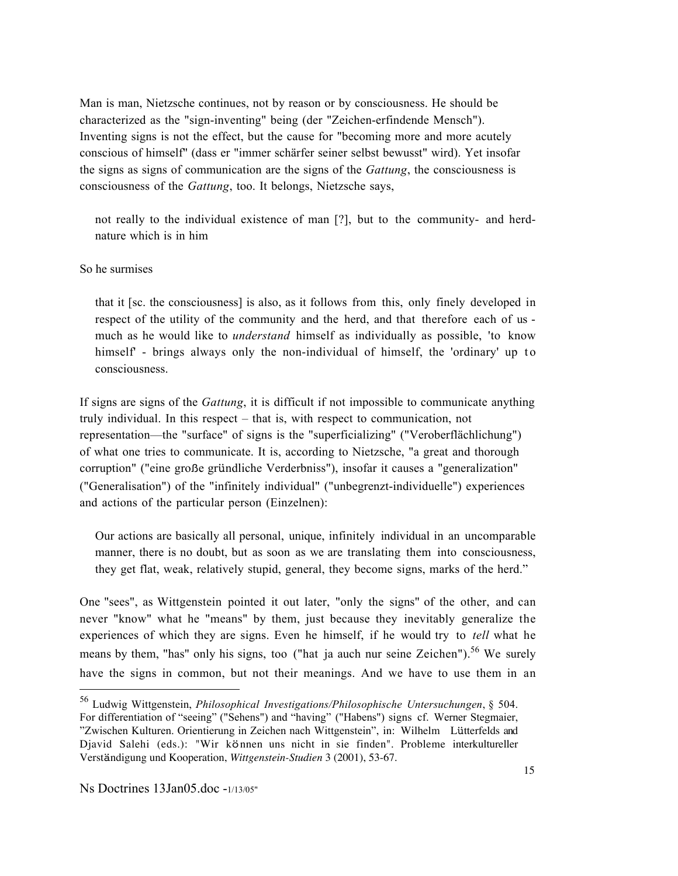Man is man, Nietzsche continues, not by reason or by consciousness. He should be characterized as the "sign-inventing" being (der "Zeichen-erfindende Mensch"). Inventing signs is not the effect, but the cause for "becoming more and more acutely conscious of himself" (dass er "immer schärfer seiner selbst bewusst" wird). Yet insofar the signs as signs of communication are the signs of the *Gattung*, the consciousness is consciousness of the *Gattung*, too. It belongs, Nietzsche says,

not really to the individual existence of man [?], but to the community- and herdnature which is in him

## So he surmises

that it [sc. the consciousness] is also, as it follows from this, only finely developed in respect of the utility of the community and the herd, and that therefore each of us much as he would like to *understand* himself as individually as possible, 'to know himself - brings always only the non-individual of himself, the 'ordinary' up to consciousness.

If signs are signs of the *Gattung*, it is difficult if not impossible to communicate anything truly individual. In this respect – that is, with respect to communication, not representation—the "surface" of signs is the "superficializing" ("Veroberflächlichung") of what one tries to communicate. It is, according to Nietzsche, "a great and thorough corruption" ("eine große gründliche Verderbniss"), insofar it causes a "generalization" ("Generalisation") of the "infinitely individual" ("unbegrenzt-individuelle") experiences and actions of the particular person (Einzelnen):

Our actions are basically all personal, unique, infinitely individual in an uncomparable manner, there is no doubt, but as soon as we are translating them into consciousness, they get flat, weak, relatively stupid, general, they become signs, marks of the herd."

One "sees", as Wittgenstein pointed it out later, "only the signs" of the other, and can never "know" what he "means" by them, just because they inevitably generalize the experiences of which they are signs. Even he himself, if he would try to *tell* what he means by them, "has" only his signs, too ("hat ja auch nur seine Zeichen").<sup>56</sup> We surely have the signs in common, but not their meanings. And we have to use them in an

<sup>56</sup> Ludwig Wittgenstein, *Philosophical Investigations/Philosophische Untersuchungen*, § 504. For differentiation of "seeing" ("Sehens") and "having" ("Habens") signs cf. Werner Stegmaier, "Zwischen Kulturen. Orientierung in Zeichen nach Wittgenstein", in: Wilhelm Lütterfelds and Djavid Salehi (eds.): "Wir können uns nicht in sie finden". Probleme interkultureller Verständigung und Kooperation, *Wittgenstein-Studien* 3 (2001), 53-67.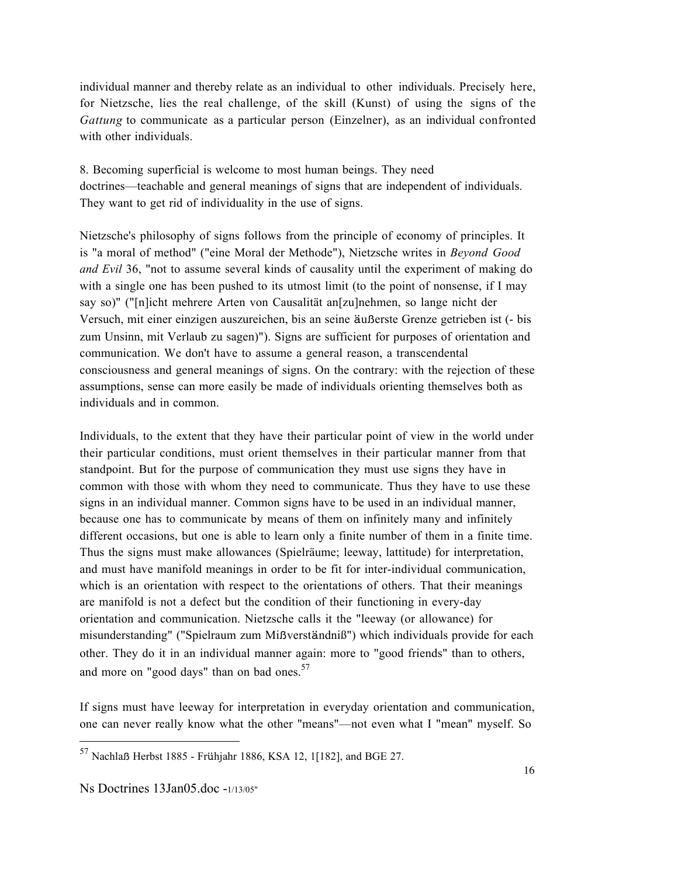individual manner and thereby relate as an individual to other individuals. Precisely here, for Nietzsche, lies the real challenge, of the skill (Kunst) of using the signs of the *Gattung* to communicate as a particular person (Einzelner), as an individual confronted with other individuals.

8. Becoming superficial is welcome to most human beings. They need doctrines—teachable and general meanings of signs that are independent of individuals. They want to get rid of individuality in the use of signs.

Nietzsche's philosophy of signs follows from the principle of economy of principles. It is "a moral of method" ("eine Moral der Methode"), Nietzsche writes in *Beyond Good and Evil* 36, "not to assume several kinds of causality until the experiment of making do with a single one has been pushed to its utmost limit (to the point of nonsense, if I may say so)" ("[n]icht mehrere Arten von Causalität an[zu]nehmen, so lange nicht der Versuch, mit einer einzigen auszureichen, bis an seine äußerste Grenze getrieben ist (- bis zum Unsinn, mit Verlaub zu sagen)"). Signs are sufficient for purposes of orientation and communication. We don't have to assume a general reason, a transcendental consciousness and general meanings of signs. On the contrary: with the rejection of these assumptions, sense can more easily be made of individuals orienting themselves both as individuals and in common.

Individuals, to the extent that they have their particular point of view in the world under their particular conditions, must orient themselves in their particular manner from that standpoint. But for the purpose of communication they must use signs they have in common with those with whom they need to communicate. Thus they have to use these signs in an individual manner. Common signs have to be used in an individual manner, because one has to communicate by means of them on infinitely many and infinitely different occasions, but one is able to learn only a finite number of them in a finite time. Thus the signs must make allowances (Spielräume; leeway, lattitude) for interpretation, and must have manifold meanings in order to be fit for inter-individual communication, which is an orientation with respect to the orientations of others. That their meanings are manifold is not a defect but the condition of their functioning in every-day orientation and communication. Nietzsche calls it the "leeway (or allowance) for misunderstanding" ("Spielraum zum Mißverständniß") which individuals provide for each other. They do it in an individual manner again: more to "good friends" than to others, and more on "good days" than on bad ones.<sup>57</sup>

If signs must have leeway for interpretation in everyday orientation and communication, one can never really know what the other "means"—not even what I "mean" myself. So

 $^{57}$  Nachlaß Herbst 1885 - Frühjahr 1886, KSA 12, 1[182], and BGE 27.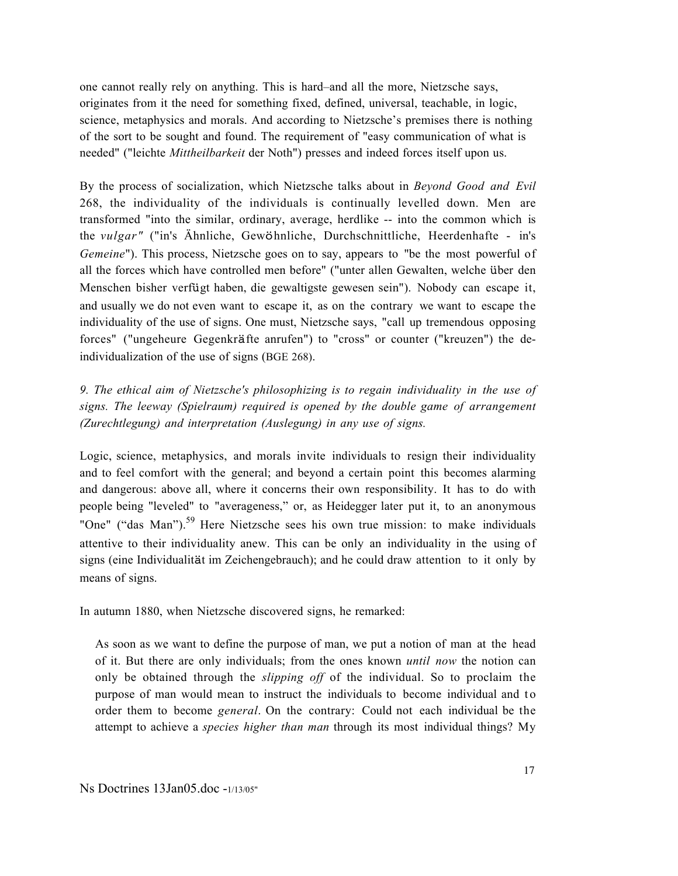one cannot really rely on anything. This is hard–and all the more, Nietzsche says, originates from it the need for something fixed, defined, universal, teachable, in logic, science, metaphysics and morals. And according to Nietzsche's premises there is nothing of the sort to be sought and found. The requirement of "easy communication of what is needed" ("leichte *Mittheilbarkeit* der Noth") presses and indeed forces itself upon us.

By the process of socialization, which Nietzsche talks about in *Beyond Good and Evil* 268, the individuality of the individuals is continually levelled down. Men are transformed "into the similar, ordinary, average, herdlike -- into the common which is the *vulgar"* ("in's Ähnliche, Gewöhnliche, Durchschnittliche, Heerdenhafte - in's *Gemeine*"). This process, Nietzsche goes on to say, appears to "be the most powerful of all the forces which have controlled men before" ("unter allen Gewalten, welche über den Menschen bisher verfügt haben, die gewaltigste gewesen sein"). Nobody can escape it, and usually we do not even want to escape it, as on the contrary we want to escape the individuality of the use of signs. One must, Nietzsche says, "call up tremendous opposing forces" ("ungeheure Gegenkräfte anrufen") to "cross" or counter ("kreuzen") the deindividualization of the use of signs (BGE 268).

*9. The ethical aim of Nietzsche's philosophizing is to regain individuality in the use of signs. The leeway (Spielraum) required is opened by the double game of arrangement (Zurechtlegung) and interpretation (Auslegung) in any use of signs.*

Logic, science, metaphysics, and morals invite individuals to resign their individuality and to feel comfort with the general; and beyond a certain point this becomes alarming and dangerous: above all, where it concerns their own responsibility. It has to do with people being "leveled" to "averageness," or, as Heidegger later put it, to an anonymous "One" ("das Man").<sup>59</sup> Here Nietzsche sees his own true mission: to make individuals attentive to their individuality anew. This can be only an individuality in the using of signs (eine Individualität im Zeichengebrauch); and he could draw attention to it only by means of signs.

In autumn 1880, when Nietzsche discovered signs, he remarked:

As soon as we want to define the purpose of man, we put a notion of man at the head of it. But there are only individuals; from the ones known *until now* the notion can only be obtained through the *slipping off* of the individual. So to proclaim the purpose of man would mean to instruct the individuals to become individual and to order them to become *general*. On the contrary: Could not each individual be the attempt to achieve a *species higher than man* through its most individual things? My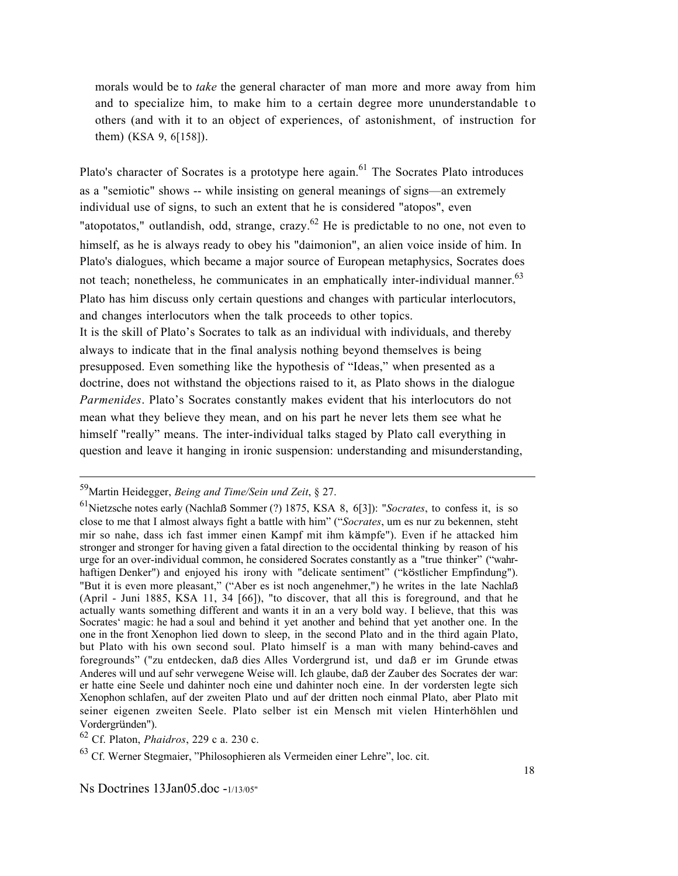morals would be to *take* the general character of man more and more away from him and to specialize him, to make him to a certain degree more ununderstandable to others (and with it to an object of experiences, of astonishment, of instruction for them) (KSA 9, 6[158]).

Plato's character of Socrates is a prototype here again.<sup>61</sup> The Socrates Plato introduces as a "semiotic" shows -- while insisting on general meanings of signs—an extremely individual use of signs, to such an extent that he is considered "atopos", even "atopotatos," outlandish, odd, strange, crazy. $62$  He is predictable to no one, not even to himself, as he is always ready to obey his "daimonion", an alien voice inside of him. In Plato's dialogues, which became a major source of European metaphysics, Socrates does not teach; nonetheless, he communicates in an emphatically inter-individual manner.<sup>63</sup> Plato has him discuss only certain questions and changes with particular interlocutors, and changes interlocutors when the talk proceeds to other topics. It is the skill of Plato's Socrates to talk as an individual with individuals, and thereby always to indicate that in the final analysis nothing beyond themselves is being presupposed. Even something like the hypothesis of "Ideas," when presented as a doctrine, does not withstand the objections raised to it, as Plato shows in the dialogue *Parmenides*. Plato's Socrates constantly makes evident that his interlocutors do not mean what they believe they mean, and on his part he never lets them see what he himself "really" means. The inter-individual talks staged by Plato call everything in question and leave it hanging in ironic suspension: understanding and misunderstanding,

<sup>59</sup>Martin Heidegger, *Being and Time/Sein und Zeit*, § 27.

<sup>61</sup>Nietzsche notes early (Nachlaß Sommer (?) 1875, KSA 8, 6[3]): "*Socrates*, to confess it, is so close to me that I almost always fight a battle with him" ("*Socrates*, um es nur zu bekennen, steht mir so nahe, dass ich fast immer einen Kampf mit ihm kämpfe"). Even if he attacked him stronger and stronger for having given a fatal direction to the occidental thinking by reason of his urge for an over-individual common, he considered Socrates constantly as a "true thinker" ("wahrhaftigen Denker") and enjoyed his irony with "delicate sentiment" ("köstlicher Empfindung"). "But it is even more pleasant," ("Aber es ist noch angenehmer,") he writes in the late Nachlaß (April - Juni 1885, KSA 11,  $34$  [66]), "to discover, that all this is foreground, and that he actually wants something different and wants it in an a very bold way. I believe, that this was Socrates' magic: he had a soul and behind it yet another and behind that yet another one. In the one in the front Xenophon lied down to sleep, in the second Plato and in the third again Plato, but Plato with his own second soul. Plato himself is a man with many behind-caves and foregrounds" ("zu entdecken, daß dies Alles Vordergrund ist, und daß er im Grunde etwas Anderes will und auf sehr verwegene Weise will. Ich glaube, daß der Zauber des Socrates der war: er hatte eine Seele und dahinter noch eine und dahinter noch eine. In der vordersten legte sich Xenophon schlafen, auf der zweiten Plato und auf der dritten noch einmal Plato, aber Plato mit seiner eigenen zweiten Seele. Plato selber ist ein Mensch mit vielen Hinterhöhlen und Vordergründen").

<sup>62</sup> Cf. Platon, *Phaidros*, 229 c a. 230 c.

<sup>63</sup> Cf. Werner Stegmaier, "Philosophieren als Vermeiden einer Lehre", loc. cit.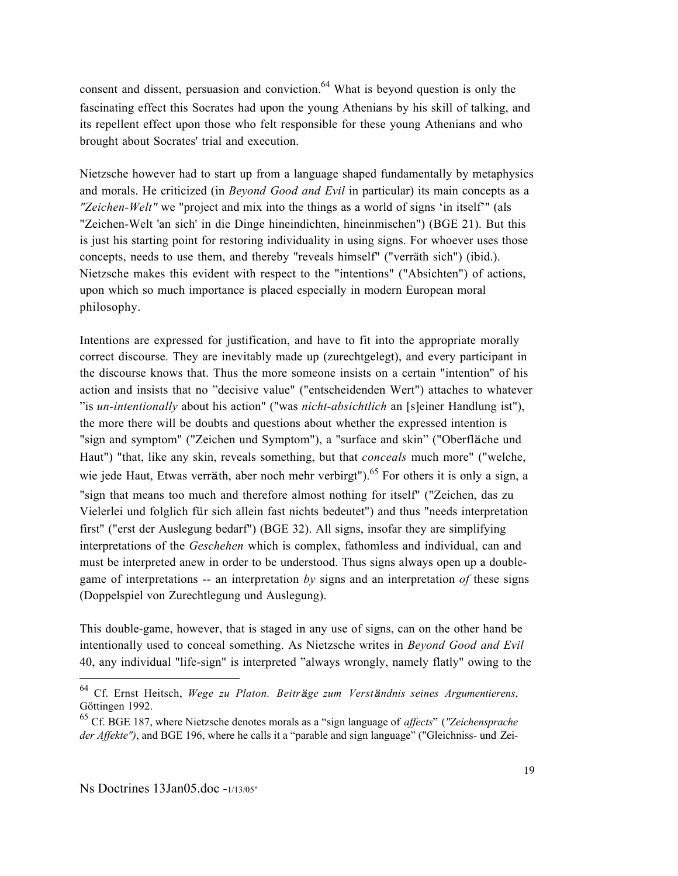consent and dissent, persuasion and conviction.<sup>64</sup> What is beyond question is only the fascinating effect this Socrates had upon the young Athenians by his skill of talking, and its repellent effect upon those who felt responsible for these young Athenians and who brought about Socrates' trial and execution.

Nietzsche however had to start up from a language shaped fundamentally by metaphysics and morals. He criticized (in *Beyond Good and Evil* in particular) its main concepts as a *"Zeichen-Welt"* we "project and mix into the things as a world of signs 'in itself'" (als "Zeichen-Welt 'an sich' in die Dinge hineindichten, hineinmischen") (BGE 21). But this is just his starting point for restoring individuality in using signs. For whoever uses those concepts, needs to use them, and thereby "reveals himself" ("verräth sich") (ibid.). Nietzsche makes this evident with respect to the "intentions" ("Absichten") of actions, upon which so much importance is placed especially in modern European moral philosophy.

Intentions are expressed for justification, and have to fit into the appropriate morally correct discourse. They are inevitably made up (zurechtgelegt), and every participant in the discourse knows that. Thus the more someone insists on a certain "intention" of his action and insists that no "decisive value" ("entscheidenden Wert") attaches to whatever "is *un-intentionally* about his action" ("was *nicht-absichtlich* an [s]einer Handlung ist"), the more there will be doubts and questions about whether the expressed intention is "sign and symptom" ("Zeichen und Symptom"), a "surface and skin" ("Oberfläche und Haut") "that, like any skin, reveals something, but that *conceals* much more" ("welche, wie jede Haut, Etwas verräth, aber noch mehr verbirgt").<sup>65</sup> For others it is only a sign, a "sign that means too much and therefore almost nothing for itself" ("Zeichen, das zu Vielerlei und folglich für sich allein fast nichts bedeutet") and thus "needs interpretation first" ("erst der Auslegung bedarf") (BGE 32). All signs, insofar they are simplifying interpretations of the *Geschehen* which is complex, fathomless and individual, can and must be interpreted anew in order to be understood. Thus signs always open up a doublegame of interpretations -- an interpretation *by* signs and an interpretation *of* these signs (Doppelspiel von Zurechtlegung und Auslegung).

This double-game, however, that is staged in any use of signs, can on the other hand be intentionally used to conceal something. As Nietzsche writes in *Beyond Good and Evil* 40, any individual "life-sign" is interpreted "always wrongly, namely flatly" owing to the

<sup>64</sup> Cf. Ernst Heitsch, *Wege zu Platon. Beitr*ä*ge zum Verst*ä*ndnis seines Argumentierens*, Göttingen 1992.

<sup>65</sup> Cf. BGE 187, where Nietzsche denotes morals as a "sign language of *affects*" (*"Zeichensprache der Affekte")*, and BGE 196, where he calls it a "parable and sign language" ("Gleichniss- und Zei-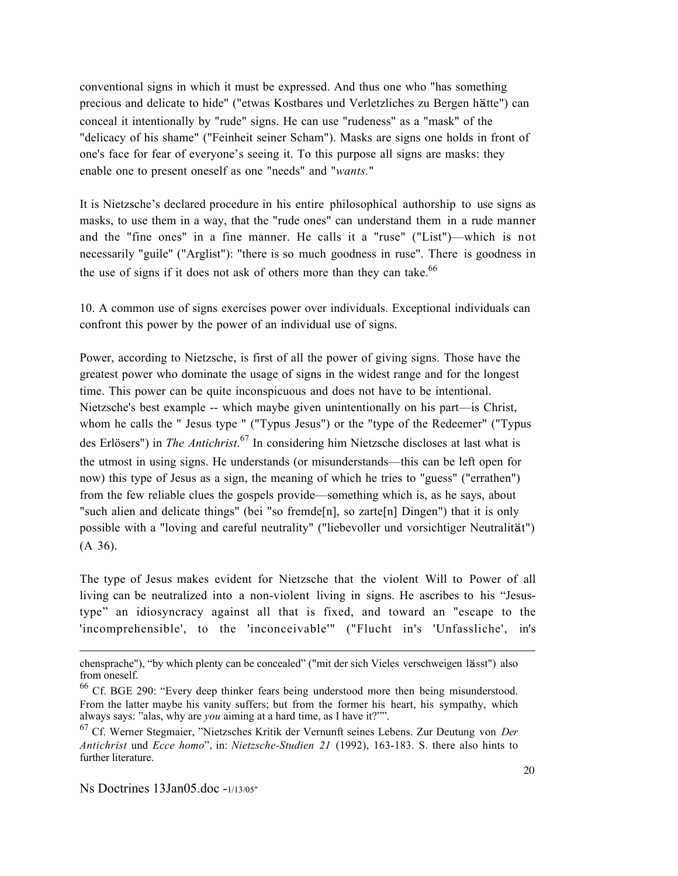conventional signs in which it must be expressed. And thus one who "has something precious and delicate to hide" ("etwas Kostbares und Verletzliches zu Bergen hätte") can conceal it intentionally by "rude" signs. He can use "rudeness" as a "mask" of the "delicacy of his shame" ("Feinheit seiner Scham"). Masks are signs one holds in front of one's face for fear of everyone's seeing it. To this purpose all signs are masks: they enable one to present oneself as one "needs" and "*wants.*"

It is Nietzsche's declared procedure in his entire philosophical authorship to use signs as masks, to use them in a way, that the "rude ones" can understand them in a rude manner and the "fine ones" in a fine manner. He calls it a "ruse" ("List")—which is not necessarily "guile" ("Arglist"): "there is so much goodness in ruse". There is goodness in the use of signs if it does not ask of others more than they can take.<sup>66</sup>

10. A common use of signs exercises power over individuals. Exceptional individuals can confront this power by the power of an individual use of signs.

Power, according to Nietzsche, is first of all the power of giving signs. Those have the greatest power who dominate the usage of signs in the widest range and for the longest time. This power can be quite inconspicuous and does not have to be intentional. Nietzsche's best example -- which maybe given unintentionally on his part—is Christ, whom he calls the " Jesus type " ("Typus Jesus") or the "type of the Redeemer" ("Typus des Erlösers") in *The Antichrist*. <sup>67</sup> In considering him Nietzsche discloses at last what is the utmost in using signs. He understands (or misunderstands—this can be left open for now) this type of Jesus as a sign, the meaning of which he tries to "guess" ("errathen") from the few reliable clues the gospels provide—something which is, as he says, about "such alien and delicate things" (bei "so fremde[n], so zarte[n] Dingen") that it is only possible with a "loving and careful neutrality" ("liebevoller und vorsichtiger Neutralität") (A 36).

The type of Jesus makes evident for Nietzsche that the violent Will to Power of all living can be neutralized into a non-violent living in signs. He ascribes to his "Jesustype" an idiosyncracy against all that is fixed, and toward an "escape to the 'incomprehensible', to the 'inconceivable'" ("Flucht in's 'Unfassliche', in's

chensprache"), "by which plenty can be concealed" ("mit der sich Vieles verschweigen lässt") also from oneself.

<sup>66</sup> Cf. BGE 290: "Every deep thinker fears being understood more then being misunderstood. From the latter maybe his vanity suffers; but from the former his heart, his sympathy, which always says: "alas, why are *you* aiming at a hard time, as I have it?"".

<sup>67</sup> Cf. Werner Stegmaier, "Nietzsches Kritik der Vernunft seines Lebens. Zur Deutung von *Der Antichrist* und *Ecce homo*", in: *Nietzsche-Studien 21* (1992), 163-183. S. there also hints to further literature.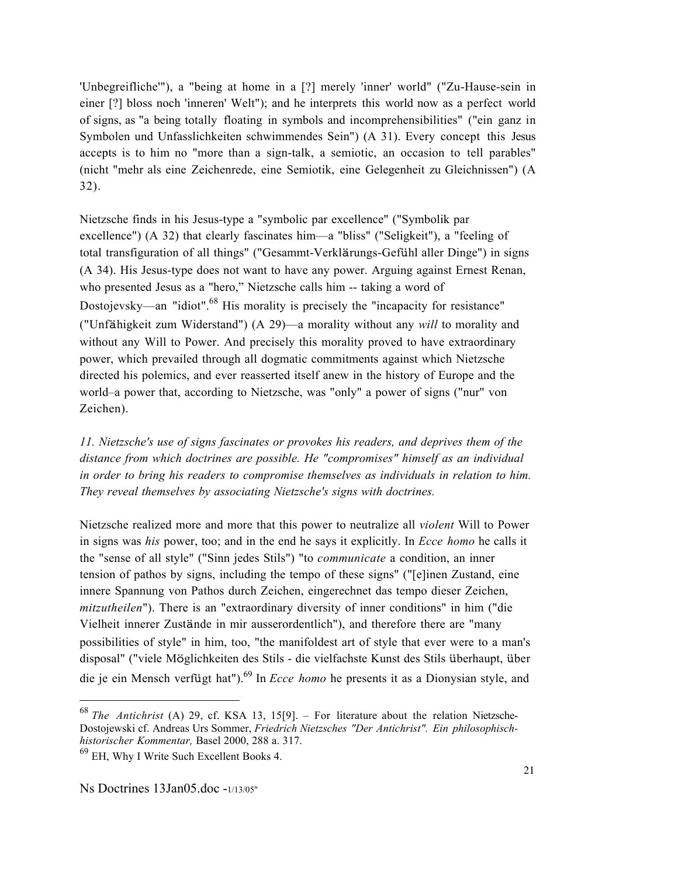'Unbegreifliche'"), a "being at home in a [?] merely 'inner' world" ("Zu-Hause-sein in einer [?] bloss noch 'inneren' Welt"); and he interprets this world now as a perfect world of signs, as "a being totally floating in symbols and incomprehensibilities" ("ein ganz in Symbolen und Unfasslichkeiten schwimmendes Sein") (A 31). Every concept this Jesus accepts is to him no "more than a sign-talk, a semiotic, an occasion to tell parables" (nicht "mehr als eine Zeichenrede, eine Semiotik, eine Gelegenheit zu Gleichnissen") (A 32).

Nietzsche finds in his Jesus-type a "symbolic par excellence" ("Symbolik par excellence") (A 32) that clearly fascinates him—a "bliss" ("Seligkeit"), a "feeling of total transfiguration of all things" ("Gesammt-Verklärungs-Gefühl aller Dinge") in signs (A 34). His Jesus-type does not want to have any power. Arguing against Ernest Renan, who presented Jesus as a "hero," Nietzsche calls him -- taking a word of Dostojevsky—an "idiot".<sup>68</sup> His morality is precisely the "incapacity for resistance" ("Unfähigkeit zum Widerstand") (A 29)—a morality without any *will* to morality and without any Will to Power. And precisely this morality proved to have extraordinary power, which prevailed through all dogmatic commitments against which Nietzsche directed his polemics, and ever reasserted itself anew in the history of Europe and the world–a power that, according to Nietzsche, was "only" a power of signs ("nur" von Zeichen).

*11. Nietzsche's use of signs fascinates or provokes his readers, and deprives them of the distance from which doctrines are possible. He "compromises" himself as an individual in order to bring his readers to compromise themselves as individuals in relation to him. They reveal themselves by associating Nietzsche's signs with doctrines.*

Nietzsche realized more and more that this power to neutralize all *violent* Will to Power in signs was *his* power, too; and in the end he says it explicitly. In *Ecce homo* he calls it the "sense of all style" ("Sinn jedes Stils") "to *communicate* a condition, an inner tension of pathos by signs, including the tempo of these signs" ("[e]inen Zustand, eine innere Spannung von Pathos durch Zeichen, eingerechnet das tempo dieser Zeichen, *mitzutheilen*"). There is an "extraordinary diversity of inner conditions" in him ("die Vielheit innerer Zustände in mir ausserordentlich"), and therefore there are "many possibilities of style" in him, too, "the manifoldest art of style that ever were to a man's disposal" ("viele Möglichkeiten des Stils - die vielfachste Kunst des Stils überhaupt, über die je ein Mensch verfügt hat").69 In *Ecce homo* he presents it as a Dionysian style, and

<sup>68</sup> *The Antichrist* (A) 29, cf. KSA 13, 15[9]. – For literature about the relation Nietzsche-Dostojewski cf. Andreas Urs Sommer, *Friedrich Nietzsches "Der Antichrist". Ein philosophischhistorischer Kommentar,* Basel 2000, 288 a. 317.

 $69$  EH, Why I Write Such Excellent Books 4.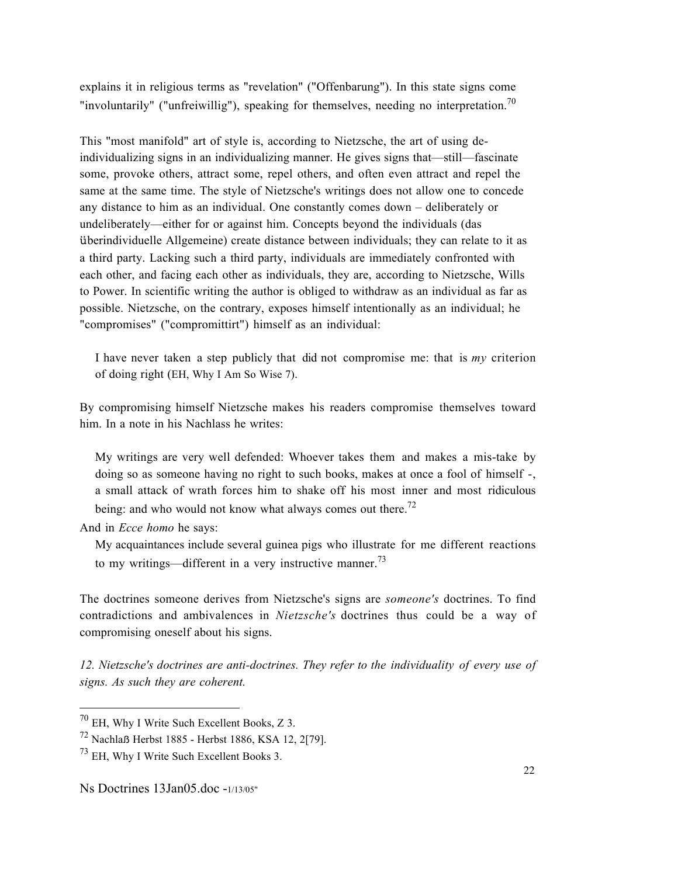explains it in religious terms as "revelation" ("Offenbarung"). In this state signs come "involuntarily" ("unfreiwillig"), speaking for themselves, needing no interpretation.<sup>70</sup>

This "most manifold" art of style is, according to Nietzsche, the art of using deindividualizing signs in an individualizing manner. He gives signs that—still—fascinate some, provoke others, attract some, repel others, and often even attract and repel the same at the same time. The style of Nietzsche's writings does not allow one to concede any distance to him as an individual. One constantly comes down – deliberately or undeliberately—either for or against him. Concepts beyond the individuals (das überindividuelle Allgemeine) create distance between individuals; they can relate to it as a third party. Lacking such a third party, individuals are immediately confronted with each other, and facing each other as individuals, they are, according to Nietzsche, Wills to Power. In scientific writing the author is obliged to withdraw as an individual as far as possible. Nietzsche, on the contrary, exposes himself intentionally as an individual; he "compromises" ("compromittirt") himself as an individual:

I have never taken a step publicly that did not compromise me: that is *my* criterion of doing right (EH, Why I Am So Wise 7).

By compromising himself Nietzsche makes his readers compromise themselves toward him. In a note in his Nachlass he writes:

My writings are very well defended: Whoever takes them and makes a mis-take by doing so as someone having no right to such books, makes at once a fool of himself -, a small attack of wrath forces him to shake off his most inner and most ridiculous being: and who would not know what always comes out there.<sup>72</sup>

And in *Ecce homo* he says:

My acquaintances include several guinea pigs who illustrate for me different reactions to my writings—different in a very instructive manner.<sup>73</sup>

The doctrines someone derives from Nietzsche's signs are *someone's* doctrines. To find contradictions and ambivalences in *Nietzsche's* doctrines thus could be a way of compromising oneself about his signs.

*12. Nietzsche's doctrines are anti-doctrines. They refer to the individuality of every use of signs. As such they are coherent.*

<sup>70</sup> EH, Why I Write Such Excellent Books, Z 3.

<sup>72</sup> Nachlaß Herbst 1885 - Herbst 1886, KSA 12, 2[79].

 $^{73}$  EH, Why I Write Such Excellent Books 3.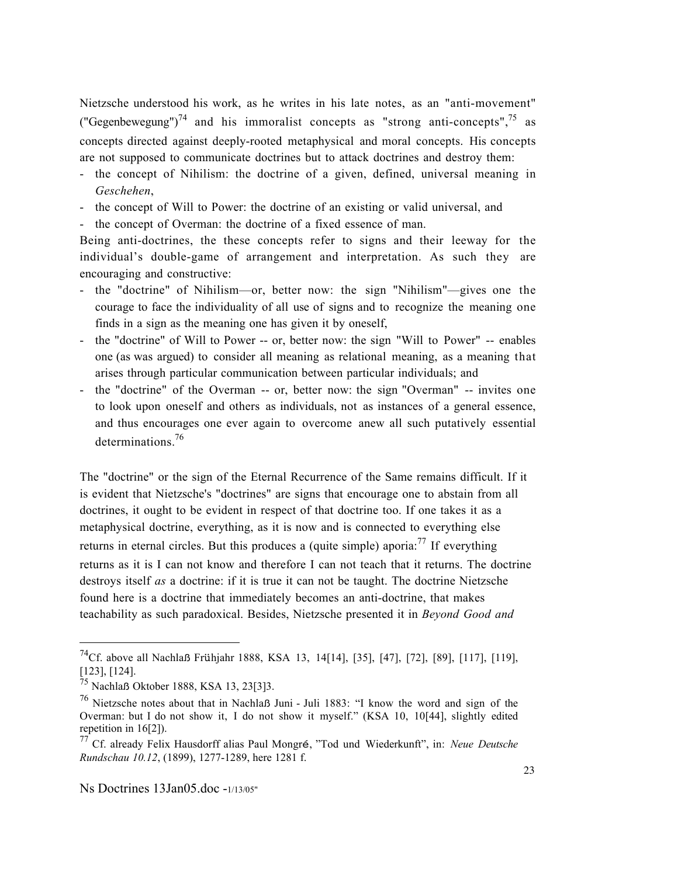Nietzsche understood his work, as he writes in his late notes, as an "anti-movement" ("Gegenbewegung")<sup>74</sup> and his immoralist concepts as "strong anti-concepts",<sup>75</sup> as concepts directed against deeply-rooted metaphysical and moral concepts. His concepts are not supposed to communicate doctrines but to attack doctrines and destroy them:

- the concept of Nihilism: the doctrine of a given, defined, universal meaning in *Geschehen*,
- the concept of Will to Power: the doctrine of an existing or valid universal, and
- the concept of Overman: the doctrine of a fixed essence of man.

Being anti-doctrines, the these concepts refer to signs and their leeway for the individual's double-game of arrangement and interpretation. As such they are encouraging and constructive:

- the "doctrine" of Nihilism—or, better now: the sign "Nihilism"—gives one the courage to face the individuality of all use of signs and to recognize the meaning one finds in a sign as the meaning one has given it by oneself,
- the "doctrine" of Will to Power -- or, better now: the sign "Will to Power" -- enables one (as was argued) to consider all meaning as relational meaning, as a meaning that arises through particular communication between particular individuals; and
- the "doctrine" of the Overman -- or, better now: the sign "Overman" -- invites one to look upon oneself and others as individuals, not as instances of a general essence, and thus encourages one ever again to overcome anew all such putatively essential determinations<sup>76</sup>

The "doctrine" or the sign of the Eternal Recurrence of the Same remains difficult. If it is evident that Nietzsche's "doctrines" are signs that encourage one to abstain from all doctrines, it ought to be evident in respect of that doctrine too. If one takes it as a metaphysical doctrine, everything, as it is now and is connected to everything else returns in eternal circles. But this produces a (quite simple) aporia: $^{77}$  If everything returns as it is I can not know and therefore I can not teach that it returns. The doctrine destroys itself *as* a doctrine: if it is true it can not be taught. The doctrine Nietzsche found here is a doctrine that immediately becomes an anti-doctrine, that makes teachability as such paradoxical. Besides, Nietzsche presented it in *Beyond Good and*

<sup>74</sup>Cf. above all Nachlaß Frühjahr 1888, KSA 13, 14[14], [35], [47], [72], [89], [117], [119], [123], [124].

<sup>75</sup> Nachlaß Oktober 1888, KSA 13, 23[3]3.

<sup>76</sup> Nietzsche notes about that in Nachlaß Juni - Juli 1883: "I know the word and sign of the Overman: but I do not show it, I do not show it myself." (KSA 10, 10[44], slightly edited repetition in 16[2]).

<sup>77</sup> Cf. already Felix Hausdorff alias Paul Mongré, "Tod und Wiederkunft", in: *Neue Deutsche Rundschau 10.12*, (1899), 1277-1289, here 1281 f.